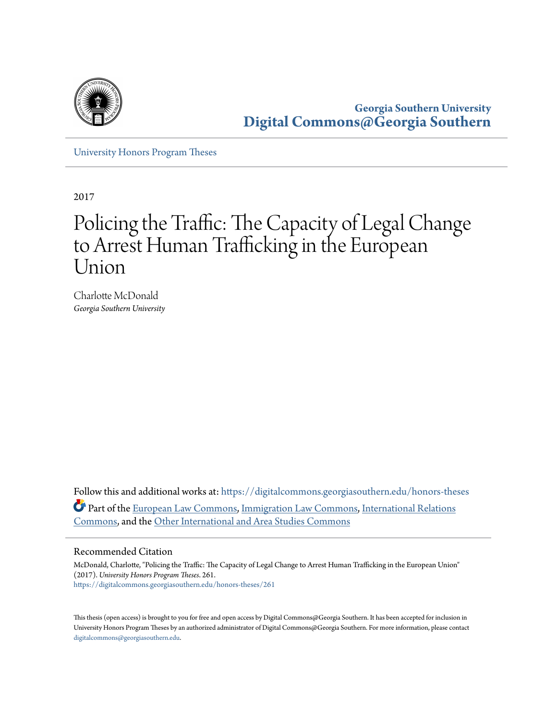

**Georgia Southern University [Digital Commons@Georgia Southern](https://digitalcommons.georgiasouthern.edu?utm_source=digitalcommons.georgiasouthern.edu%2Fhonors-theses%2F261&utm_medium=PDF&utm_campaign=PDFCoverPages)**

[University Honors Program Theses](https://digitalcommons.georgiasouthern.edu/honors-theses?utm_source=digitalcommons.georgiasouthern.edu%2Fhonors-theses%2F261&utm_medium=PDF&utm_campaign=PDFCoverPages)

2017

# Policing the Traffic: The Capacity of Legal Change to Arrest Human Trafficking in the European Union

Charlotte McDonald *Georgia Southern University*

Follow this and additional works at: [https://digitalcommons.georgiasouthern.edu/honors-theses](https://digitalcommons.georgiasouthern.edu/honors-theses?utm_source=digitalcommons.georgiasouthern.edu%2Fhonors-theses%2F261&utm_medium=PDF&utm_campaign=PDFCoverPages) Part of the [European Law Commons,](http://network.bepress.com/hgg/discipline/1084?utm_source=digitalcommons.georgiasouthern.edu%2Fhonors-theses%2F261&utm_medium=PDF&utm_campaign=PDFCoverPages) [Immigration Law Commons](http://network.bepress.com/hgg/discipline/604?utm_source=digitalcommons.georgiasouthern.edu%2Fhonors-theses%2F261&utm_medium=PDF&utm_campaign=PDFCoverPages), [International Relations](http://network.bepress.com/hgg/discipline/389?utm_source=digitalcommons.georgiasouthern.edu%2Fhonors-theses%2F261&utm_medium=PDF&utm_campaign=PDFCoverPages) [Commons,](http://network.bepress.com/hgg/discipline/389?utm_source=digitalcommons.georgiasouthern.edu%2Fhonors-theses%2F261&utm_medium=PDF&utm_campaign=PDFCoverPages) and the [Other International and Area Studies Commons](http://network.bepress.com/hgg/discipline/365?utm_source=digitalcommons.georgiasouthern.edu%2Fhonors-theses%2F261&utm_medium=PDF&utm_campaign=PDFCoverPages)

#### Recommended Citation

McDonald, Charlotte, "Policing the Traffic: The Capacity of Legal Change to Arrest Human Trafficking in the European Union" (2017). *University Honors Program Theses*. 261. [https://digitalcommons.georgiasouthern.edu/honors-theses/261](https://digitalcommons.georgiasouthern.edu/honors-theses/261?utm_source=digitalcommons.georgiasouthern.edu%2Fhonors-theses%2F261&utm_medium=PDF&utm_campaign=PDFCoverPages)

This thesis (open access) is brought to you for free and open access by Digital Commons@Georgia Southern. It has been accepted for inclusion in University Honors Program Theses by an authorized administrator of Digital Commons@Georgia Southern. For more information, please contact [digitalcommons@georgiasouthern.edu.](mailto:digitalcommons@georgiasouthern.edu)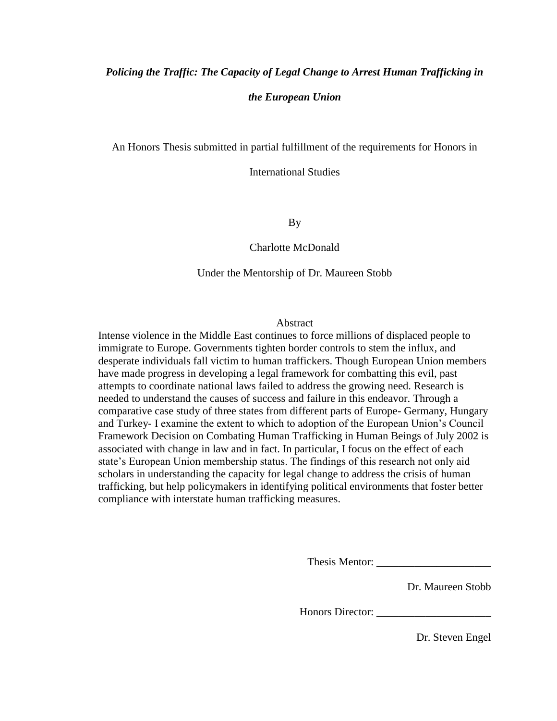## *Policing the Traffic: The Capacity of Legal Change to Arrest Human Trafficking in the European Union*

An Honors Thesis submitted in partial fulfillment of the requirements for Honors in

International Studies

By

## Charlotte McDonald

## Under the Mentorship of Dr. Maureen Stobb

#### Abstract

Intense violence in the Middle East continues to force millions of displaced people to immigrate to Europe. Governments tighten border controls to stem the influx, and desperate individuals fall victim to human traffickers. Though European Union members have made progress in developing a legal framework for combatting this evil, past attempts to coordinate national laws failed to address the growing need. Research is needed to understand the causes of success and failure in this endeavor. Through a comparative case study of three states from different parts of Europe- Germany, Hungary and Turkey- I examine the extent to which to adoption of the European Union's Council Framework Decision on Combating Human Trafficking in Human Beings of July 2002 is associated with change in law and in fact. In particular, I focus on the effect of each state's European Union membership status. The findings of this research not only aid scholars in understanding the capacity for legal change to address the crisis of human trafficking, but help policymakers in identifying political environments that foster better compliance with interstate human trafficking measures.

Thesis Mentor: \_\_\_\_\_\_\_\_\_\_\_\_\_\_\_\_\_\_\_\_\_

Dr. Maureen Stobb

Honors Director: \_\_\_\_\_\_\_\_\_\_\_\_\_\_\_\_\_\_\_\_\_

Dr. Steven Engel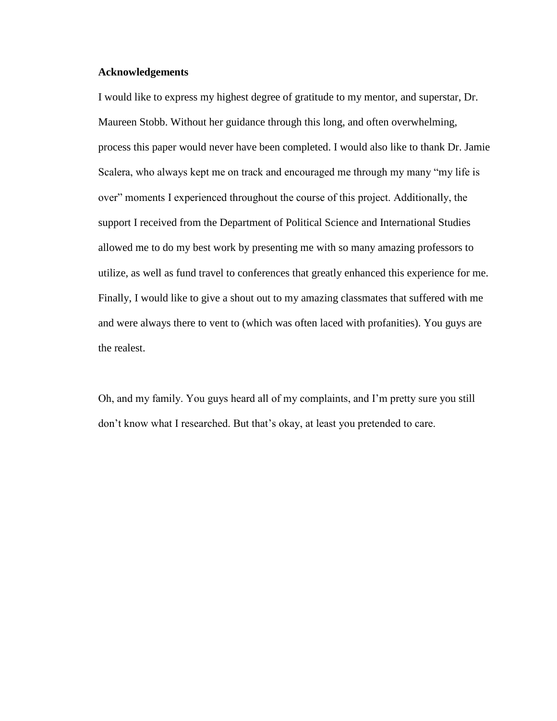## **Acknowledgements**

I would like to express my highest degree of gratitude to my mentor, and superstar, Dr. Maureen Stobb. Without her guidance through this long, and often overwhelming, process this paper would never have been completed. I would also like to thank Dr. Jamie Scalera, who always kept me on track and encouraged me through my many "my life is over" moments I experienced throughout the course of this project. Additionally, the support I received from the Department of Political Science and International Studies allowed me to do my best work by presenting me with so many amazing professors to utilize, as well as fund travel to conferences that greatly enhanced this experience for me. Finally, I would like to give a shout out to my amazing classmates that suffered with me and were always there to vent to (which was often laced with profanities). You guys are the realest.

Oh, and my family. You guys heard all of my complaints, and I'm pretty sure you still don't know what I researched. But that's okay, at least you pretended to care.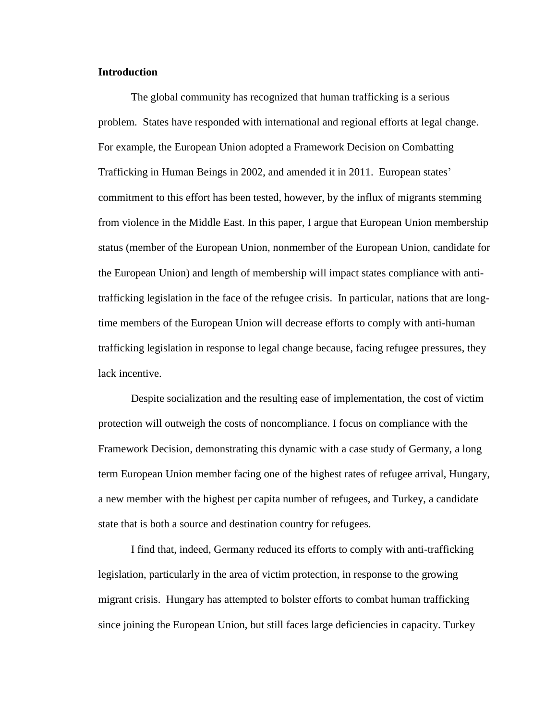## **Introduction**

The global community has recognized that human trafficking is a serious problem. States have responded with international and regional efforts at legal change. For example, the European Union adopted a Framework Decision on Combatting Trafficking in Human Beings in 2002, and amended it in 2011. European states' commitment to this effort has been tested, however, by the influx of migrants stemming from violence in the Middle East. In this paper, I argue that European Union membership status (member of the European Union, nonmember of the European Union, candidate for the European Union) and length of membership will impact states compliance with antitrafficking legislation in the face of the refugee crisis. In particular, nations that are longtime members of the European Union will decrease efforts to comply with anti-human trafficking legislation in response to legal change because, facing refugee pressures, they lack incentive.

Despite socialization and the resulting ease of implementation, the cost of victim protection will outweigh the costs of noncompliance. I focus on compliance with the Framework Decision, demonstrating this dynamic with a case study of Germany, a long term European Union member facing one of the highest rates of refugee arrival, Hungary, a new member with the highest per capita number of refugees, and Turkey, a candidate state that is both a source and destination country for refugees.

I find that, indeed, Germany reduced its efforts to comply with anti-trafficking legislation, particularly in the area of victim protection, in response to the growing migrant crisis. Hungary has attempted to bolster efforts to combat human trafficking since joining the European Union, but still faces large deficiencies in capacity. Turkey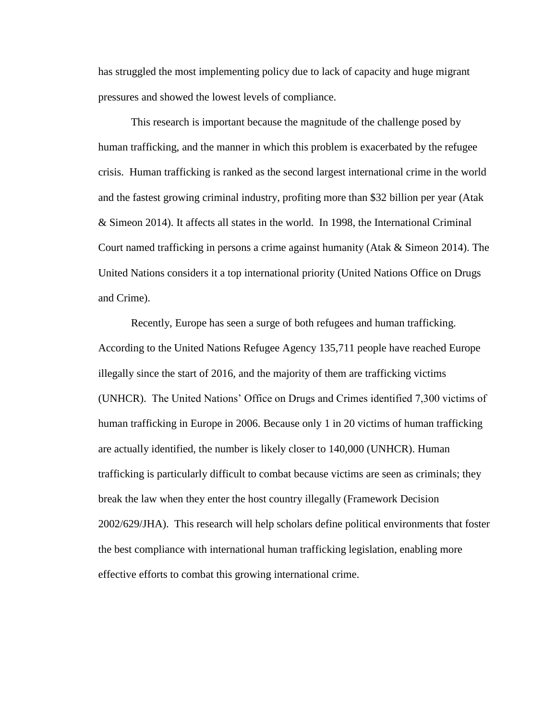has struggled the most implementing policy due to lack of capacity and huge migrant pressures and showed the lowest levels of compliance.

This research is important because the magnitude of the challenge posed by human trafficking, and the manner in which this problem is exacerbated by the refugee crisis. Human trafficking is ranked as the second largest international crime in the world and the fastest growing criminal industry, profiting more than \$32 billion per year (Atak & Simeon 2014). It affects all states in the world. In 1998, the International Criminal Court named trafficking in persons a crime against humanity (Atak & Simeon 2014). The United Nations considers it a top international priority (United Nations Office on Drugs and Crime).

Recently, Europe has seen a surge of both refugees and human trafficking. According to the United Nations Refugee Agency 135,711 people have reached Europe illegally since the start of 2016, and the majority of them are trafficking victims (UNHCR). The United Nations' Office on Drugs and Crimes identified 7,300 victims of human trafficking in Europe in 2006. Because only 1 in 20 victims of human trafficking are actually identified, the number is likely closer to 140,000 (UNHCR). Human trafficking is particularly difficult to combat because victims are seen as criminals; they break the law when they enter the host country illegally (Framework Decision 2002/629/JHA). This research will help scholars define political environments that foster the best compliance with international human trafficking legislation, enabling more effective efforts to combat this growing international crime.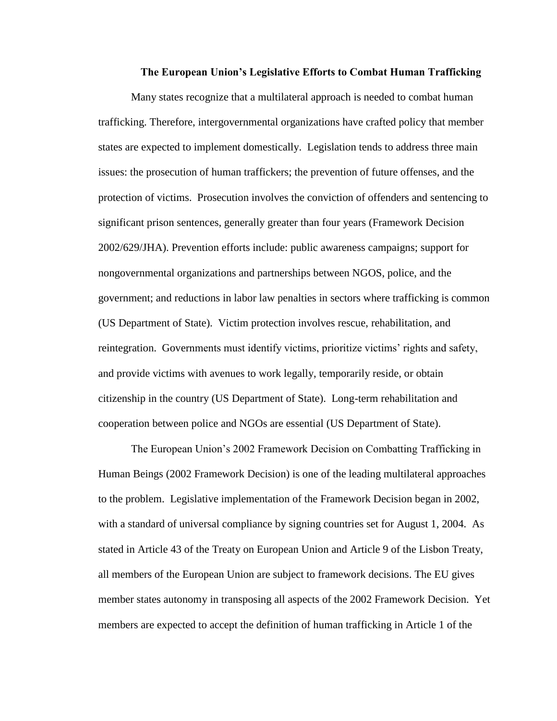#### **The European Union's Legislative Efforts to Combat Human Trafficking**

Many states recognize that a multilateral approach is needed to combat human trafficking. Therefore, intergovernmental organizations have crafted policy that member states are expected to implement domestically. Legislation tends to address three main issues: the prosecution of human traffickers; the prevention of future offenses, and the protection of victims. Prosecution involves the conviction of offenders and sentencing to significant prison sentences, generally greater than four years (Framework Decision 2002/629/JHA). Prevention efforts include: public awareness campaigns; support for nongovernmental organizations and partnerships between NGOS, police, and the government; and reductions in labor law penalties in sectors where trafficking is common (US Department of State). Victim protection involves rescue, rehabilitation, and reintegration. Governments must identify victims, prioritize victims' rights and safety, and provide victims with avenues to work legally, temporarily reside, or obtain citizenship in the country (US Department of State). Long-term rehabilitation and cooperation between police and NGOs are essential (US Department of State).

The European Union's 2002 Framework Decision on Combatting Trafficking in Human Beings (2002 Framework Decision) is one of the leading multilateral approaches to the problem. Legislative implementation of the Framework Decision began in 2002, with a standard of universal compliance by signing countries set for August 1, 2004. As stated in Article 43 of the Treaty on European Union and Article 9 of the Lisbon Treaty, all members of the European Union are subject to framework decisions. The EU gives member states autonomy in transposing all aspects of the 2002 Framework Decision. Yet members are expected to accept the definition of human trafficking in Article 1 of the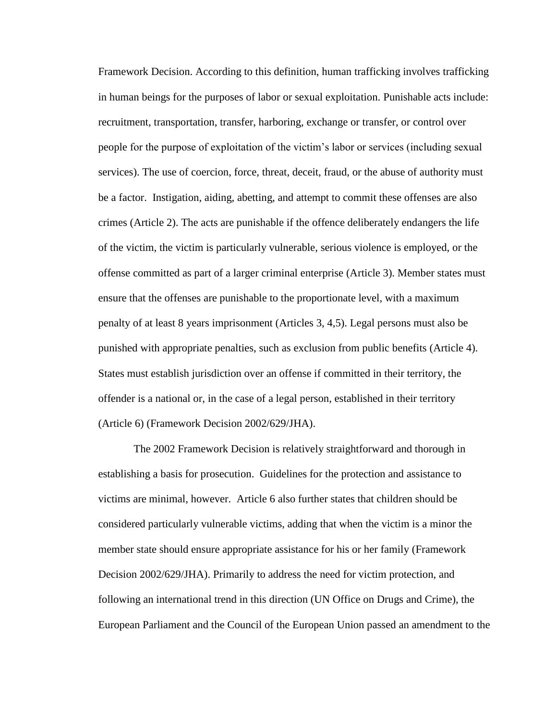Framework Decision. According to this definition, human trafficking involves trafficking in human beings for the purposes of labor or sexual exploitation. Punishable acts include: recruitment, transportation, transfer, harboring, exchange or transfer, or control over people for the purpose of exploitation of the victim's labor or services (including sexual services). The use of coercion, force, threat, deceit, fraud, or the abuse of authority must be a factor. Instigation, aiding, abetting, and attempt to commit these offenses are also crimes (Article 2). The acts are punishable if the offence deliberately endangers the life of the victim, the victim is particularly vulnerable, serious violence is employed, or the offense committed as part of a larger criminal enterprise (Article 3). Member states must ensure that the offenses are punishable to the proportionate level, with a maximum penalty of at least 8 years imprisonment (Articles 3, 4,5). Legal persons must also be punished with appropriate penalties, such as exclusion from public benefits (Article 4). States must establish jurisdiction over an offense if committed in their territory, the offender is a national or, in the case of a legal person, established in their territory (Article 6) (Framework Decision 2002/629/JHA).

The 2002 Framework Decision is relatively straightforward and thorough in establishing a basis for prosecution. Guidelines for the protection and assistance to victims are minimal, however. Article 6 also further states that children should be considered particularly vulnerable victims, adding that when the victim is a minor the member state should ensure appropriate assistance for his or her family (Framework Decision 2002/629/JHA). Primarily to address the need for victim protection, and following an international trend in this direction (UN Office on Drugs and Crime), the European Parliament and the Council of the European Union passed an amendment to the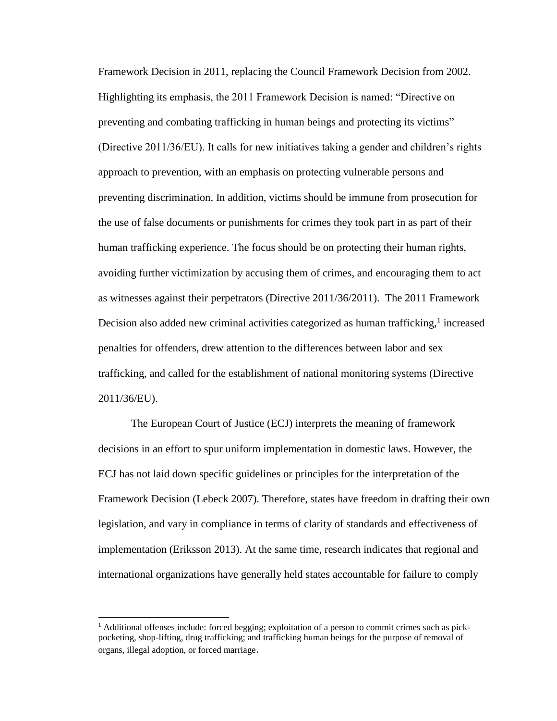Framework Decision in 2011, replacing the Council Framework Decision from 2002. Highlighting its emphasis, the 2011 Framework Decision is named: "Directive on preventing and combating trafficking in human beings and protecting its victims" (Directive 2011/36/EU). It calls for new initiatives taking a gender and children's rights approach to prevention, with an emphasis on protecting vulnerable persons and preventing discrimination. In addition, victims should be immune from prosecution for the use of false documents or punishments for crimes they took part in as part of their human trafficking experience. The focus should be on protecting their human rights, avoiding further victimization by accusing them of crimes, and encouraging them to act as witnesses against their perpetrators (Directive 2011/36/2011). The 2011 Framework Decision also added new criminal activities categorized as human trafficking,<sup>1</sup> increased penalties for offenders, drew attention to the differences between labor and sex trafficking, and called for the establishment of national monitoring systems (Directive 2011/36/EU).

The European Court of Justice (ECJ) interprets the meaning of framework decisions in an effort to spur uniform implementation in domestic laws. However, the ECJ has not laid down specific guidelines or principles for the interpretation of the Framework Decision (Lebeck 2007). Therefore, states have freedom in drafting their own legislation, and vary in compliance in terms of clarity of standards and effectiveness of implementation (Eriksson 2013). At the same time, research indicates that regional and international organizations have generally held states accountable for failure to comply

 $\overline{a}$ 

<sup>&</sup>lt;sup>1</sup> Additional offenses include: forced begging; exploitation of a person to commit crimes such as pickpocketing, shop-lifting, drug trafficking; and trafficking human beings for the purpose of removal of organs, illegal adoption, or forced marriage.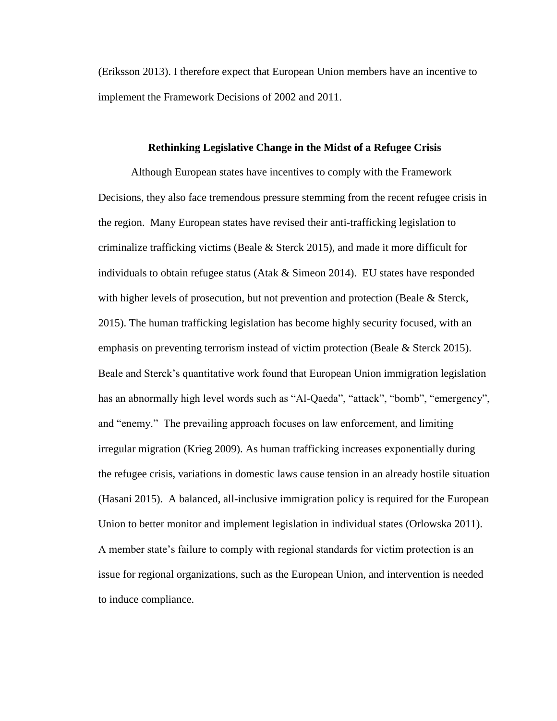(Eriksson 2013). I therefore expect that European Union members have an incentive to implement the Framework Decisions of 2002 and 2011.

#### **Rethinking Legislative Change in the Midst of a Refugee Crisis**

Although European states have incentives to comply with the Framework Decisions, they also face tremendous pressure stemming from the recent refugee crisis in the region. Many European states have revised their anti-trafficking legislation to criminalize trafficking victims (Beale & Sterck 2015), and made it more difficult for individuals to obtain refugee status (Atak  $&$  Simeon 2014). EU states have responded with higher levels of prosecution, but not prevention and protection (Beale & Sterck, 2015). The human trafficking legislation has become highly security focused, with an emphasis on preventing terrorism instead of victim protection (Beale  $&$  Sterck 2015). Beale and Sterck's quantitative work found that European Union immigration legislation has an abnormally high level words such as "Al-Qaeda", "attack", "bomb", "emergency", and "enemy." The prevailing approach focuses on law enforcement, and limiting irregular migration (Krieg 2009). As human trafficking increases exponentially during the refugee crisis, variations in domestic laws cause tension in an already hostile situation (Hasani 2015). A balanced, all-inclusive immigration policy is required for the European Union to better monitor and implement legislation in individual states (Orlowska 2011). A member state's failure to comply with regional standards for victim protection is an issue for regional organizations, such as the European Union, and intervention is needed to induce compliance.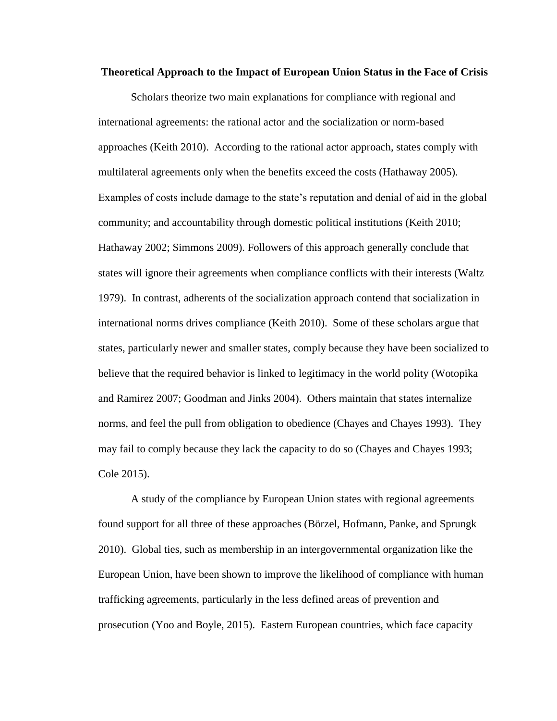#### **Theoretical Approach to the Impact of European Union Status in the Face of Crisis**

Scholars theorize two main explanations for compliance with regional and international agreements: the rational actor and the socialization or norm-based approaches (Keith 2010). According to the rational actor approach, states comply with multilateral agreements only when the benefits exceed the costs (Hathaway 2005). Examples of costs include damage to the state's reputation and denial of aid in the global community; and accountability through domestic political institutions (Keith 2010; Hathaway 2002; Simmons 2009). Followers of this approach generally conclude that states will ignore their agreements when compliance conflicts with their interests (Waltz 1979). In contrast, adherents of the socialization approach contend that socialization in international norms drives compliance (Keith 2010). Some of these scholars argue that states, particularly newer and smaller states, comply because they have been socialized to believe that the required behavior is linked to legitimacy in the world polity (Wotopika and Ramirez 2007; Goodman and Jinks 2004). Others maintain that states internalize norms, and feel the pull from obligation to obedience (Chayes and Chayes 1993). They may fail to comply because they lack the capacity to do so (Chayes and Chayes 1993; Cole 2015).

A study of the compliance by European Union states with regional agreements found support for all three of these approaches (Börzel, Hofmann, Panke, and Sprungk 2010). Global ties, such as membership in an intergovernmental organization like the European Union, have been shown to improve the likelihood of compliance with human trafficking agreements, particularly in the less defined areas of prevention and prosecution (Yoo and Boyle, 2015). Eastern European countries, which face capacity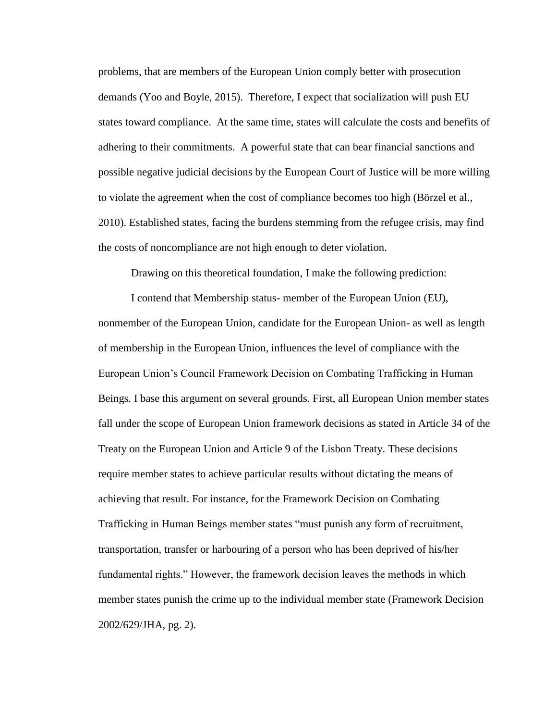problems, that are members of the European Union comply better with prosecution demands (Yoo and Boyle, 2015). Therefore, I expect that socialization will push EU states toward compliance. At the same time, states will calculate the costs and benefits of adhering to their commitments. A powerful state that can bear financial sanctions and possible negative judicial decisions by the European Court of Justice will be more willing to violate the agreement when the cost of compliance becomes too high (Börzel et al., 2010). Established states, facing the burdens stemming from the refugee crisis, may find the costs of noncompliance are not high enough to deter violation.

Drawing on this theoretical foundation, I make the following prediction:

I contend that Membership status- member of the European Union (EU), nonmember of the European Union, candidate for the European Union- as well as length of membership in the European Union, influences the level of compliance with the European Union's Council Framework Decision on Combating Trafficking in Human Beings. I base this argument on several grounds. First, all European Union member states fall under the scope of European Union framework decisions as stated in Article 34 of the Treaty on the European Union and Article 9 of the Lisbon Treaty. These decisions require member states to achieve particular results without dictating the means of achieving that result. For instance, for the Framework Decision on Combating Trafficking in Human Beings member states "must punish any form of recruitment, transportation, transfer or harbouring of a person who has been deprived of his/her fundamental rights." However, the framework decision leaves the methods in which member states punish the crime up to the individual member state (Framework Decision 2002/629/JHA, pg. 2).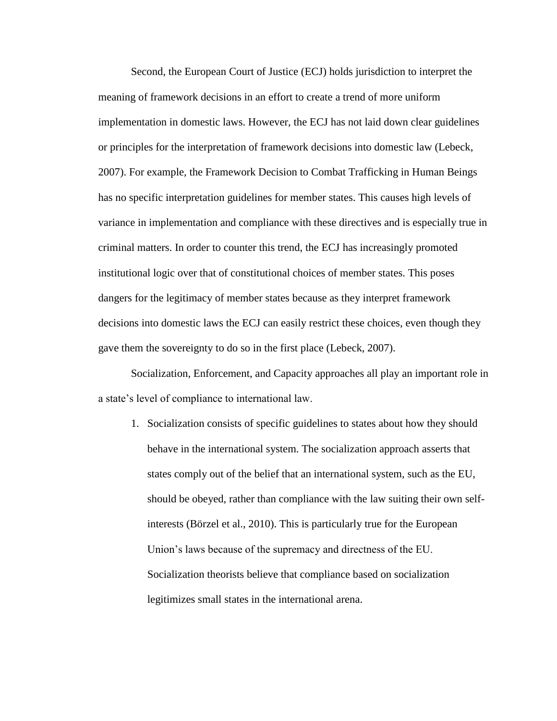Second, the European Court of Justice (ECJ) holds jurisdiction to interpret the meaning of framework decisions in an effort to create a trend of more uniform implementation in domestic laws. However, the ECJ has not laid down clear guidelines or principles for the interpretation of framework decisions into domestic law (Lebeck, 2007). For example, the Framework Decision to Combat Trafficking in Human Beings has no specific interpretation guidelines for member states. This causes high levels of variance in implementation and compliance with these directives and is especially true in criminal matters. In order to counter this trend, the ECJ has increasingly promoted institutional logic over that of constitutional choices of member states. This poses dangers for the legitimacy of member states because as they interpret framework decisions into domestic laws the ECJ can easily restrict these choices, even though they gave them the sovereignty to do so in the first place (Lebeck, 2007).

Socialization, Enforcement, and Capacity approaches all play an important role in a state's level of compliance to international law.

1. Socialization consists of specific guidelines to states about how they should behave in the international system. The socialization approach asserts that states comply out of the belief that an international system, such as the EU, should be obeyed, rather than compliance with the law suiting their own selfinterests (Börzel et al., 2010). This is particularly true for the European Union's laws because of the supremacy and directness of the EU. Socialization theorists believe that compliance based on socialization legitimizes small states in the international arena.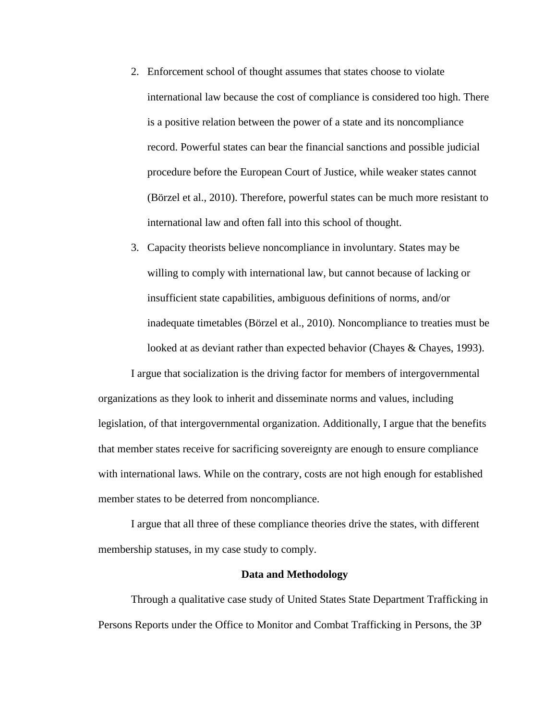- 2. Enforcement school of thought assumes that states choose to violate international law because the cost of compliance is considered too high. There is a positive relation between the power of a state and its noncompliance record. Powerful states can bear the financial sanctions and possible judicial procedure before the European Court of Justice, while weaker states cannot (Börzel et al., 2010). Therefore, powerful states can be much more resistant to international law and often fall into this school of thought.
- 3. Capacity theorists believe noncompliance in involuntary. States may be willing to comply with international law, but cannot because of lacking or insufficient state capabilities, ambiguous definitions of norms, and/or inadequate timetables (Börzel et al., 2010). Noncompliance to treaties must be looked at as deviant rather than expected behavior (Chayes & Chayes, 1993).

I argue that socialization is the driving factor for members of intergovernmental organizations as they look to inherit and disseminate norms and values, including legislation, of that intergovernmental organization. Additionally, I argue that the benefits that member states receive for sacrificing sovereignty are enough to ensure compliance with international laws. While on the contrary, costs are not high enough for established member states to be deterred from noncompliance.

I argue that all three of these compliance theories drive the states, with different membership statuses, in my case study to comply.

#### **Data and Methodology**

Through a qualitative case study of United States State Department Trafficking in Persons Reports under the Office to Monitor and Combat Trafficking in Persons, the 3P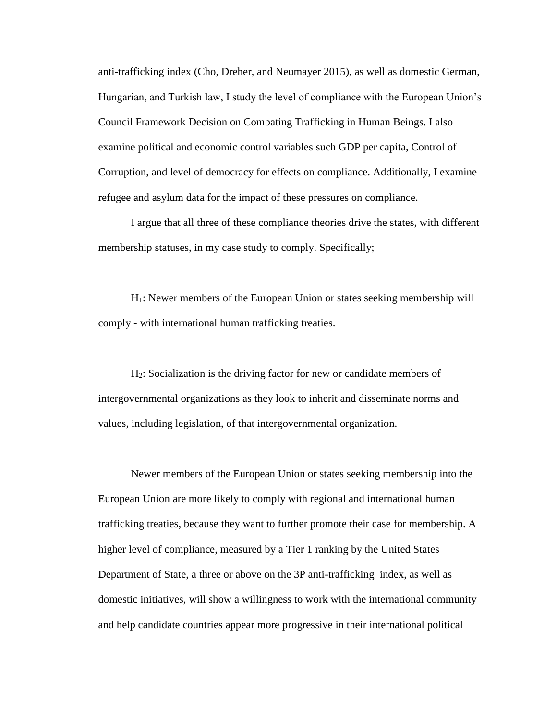anti-trafficking index (Cho, Dreher, and Neumayer 2015), as well as domestic German, Hungarian, and Turkish law, I study the level of compliance with the European Union's Council Framework Decision on Combating Trafficking in Human Beings. I also examine political and economic control variables such GDP per capita, Control of Corruption, and level of democracy for effects on compliance. Additionally, I examine refugee and asylum data for the impact of these pressures on compliance.

I argue that all three of these compliance theories drive the states, with different membership statuses, in my case study to comply. Specifically;

H1: Newer members of the European Union or states seeking membership will comply - with international human trafficking treaties.

H2: Socialization is the driving factor for new or candidate members of intergovernmental organizations as they look to inherit and disseminate norms and values, including legislation, of that intergovernmental organization.

Newer members of the European Union or states seeking membership into the European Union are more likely to comply with regional and international human trafficking treaties, because they want to further promote their case for membership. A higher level of compliance, measured by a Tier 1 ranking by the United States Department of State, a three or above on the 3P anti-trafficking index, as well as domestic initiatives, will show a willingness to work with the international community and help candidate countries appear more progressive in their international political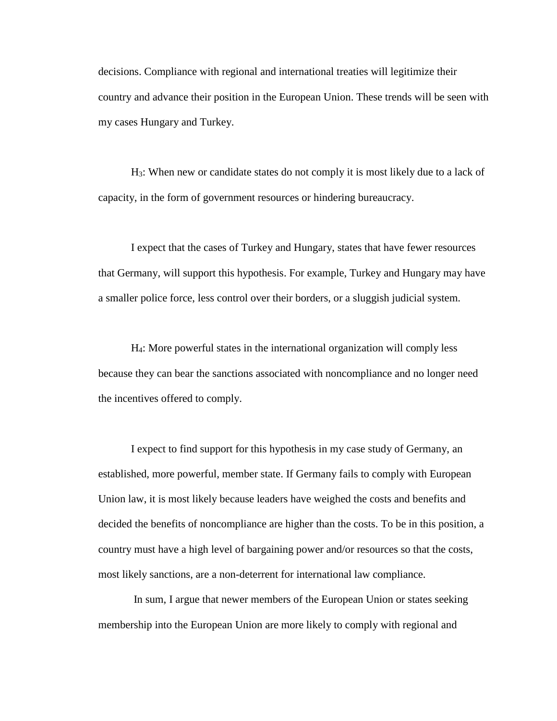decisions. Compliance with regional and international treaties will legitimize their country and advance their position in the European Union. These trends will be seen with my cases Hungary and Turkey.

H3: When new or candidate states do not comply it is most likely due to a lack of capacity, in the form of government resources or hindering bureaucracy.

I expect that the cases of Turkey and Hungary, states that have fewer resources that Germany, will support this hypothesis. For example, Turkey and Hungary may have a smaller police force, less control over their borders, or a sluggish judicial system.

H4: More powerful states in the international organization will comply less because they can bear the sanctions associated with noncompliance and no longer need the incentives offered to comply.

I expect to find support for this hypothesis in my case study of Germany, an established, more powerful, member state. If Germany fails to comply with European Union law, it is most likely because leaders have weighed the costs and benefits and decided the benefits of noncompliance are higher than the costs. To be in this position, a country must have a high level of bargaining power and/or resources so that the costs, most likely sanctions, are a non-deterrent for international law compliance.

In sum, I argue that newer members of the European Union or states seeking membership into the European Union are more likely to comply with regional and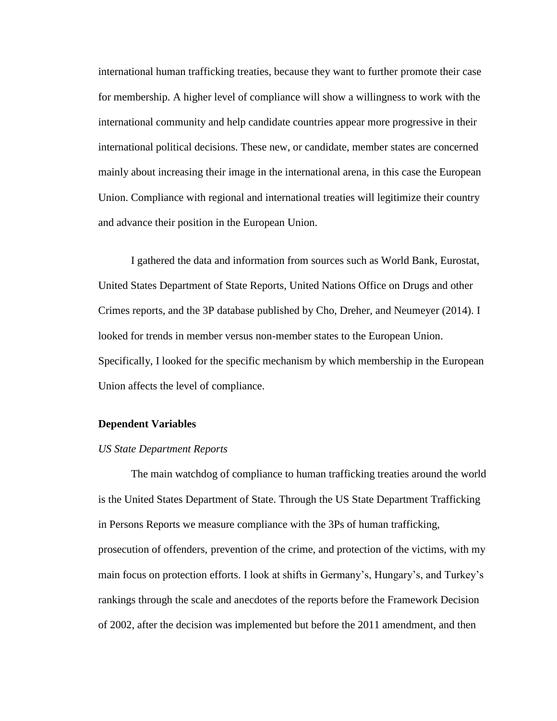international human trafficking treaties, because they want to further promote their case for membership. A higher level of compliance will show a willingness to work with the international community and help candidate countries appear more progressive in their international political decisions. These new, or candidate, member states are concerned mainly about increasing their image in the international arena, in this case the European Union. Compliance with regional and international treaties will legitimize their country and advance their position in the European Union.

I gathered the data and information from sources such as World Bank, Eurostat, United States Department of State Reports, United Nations Office on Drugs and other Crimes reports, and the 3P database published by Cho, Dreher, and Neumeyer (2014). I looked for trends in member versus non-member states to the European Union. Specifically, I looked for the specific mechanism by which membership in the European Union affects the level of compliance.

#### **Dependent Variables**

#### *US State Department Reports*

The main watchdog of compliance to human trafficking treaties around the world is the United States Department of State. Through the US State Department Trafficking in Persons Reports we measure compliance with the 3Ps of human trafficking, prosecution of offenders, prevention of the crime, and protection of the victims, with my main focus on protection efforts. I look at shifts in Germany's, Hungary's, and Turkey's rankings through the scale and anecdotes of the reports before the Framework Decision of 2002, after the decision was implemented but before the 2011 amendment, and then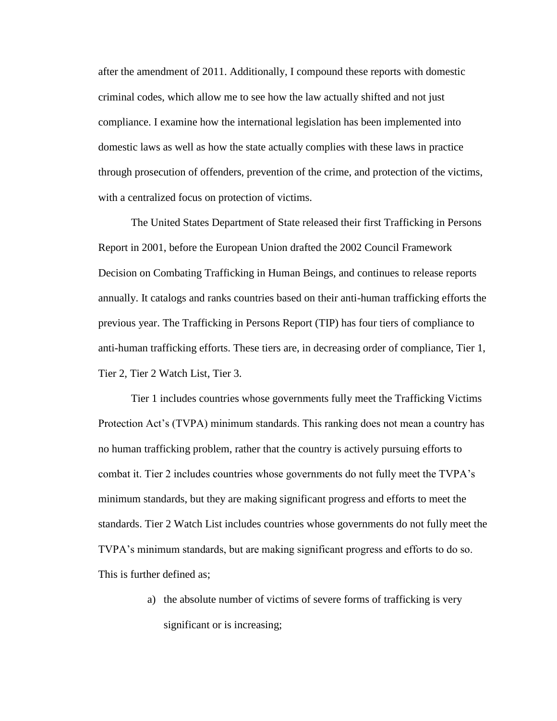after the amendment of 2011. Additionally, I compound these reports with domestic criminal codes, which allow me to see how the law actually shifted and not just compliance. I examine how the international legislation has been implemented into domestic laws as well as how the state actually complies with these laws in practice through prosecution of offenders, prevention of the crime, and protection of the victims, with a centralized focus on protection of victims.

The United States Department of State released their first Trafficking in Persons Report in 2001, before the European Union drafted the 2002 Council Framework Decision on Combating Trafficking in Human Beings, and continues to release reports annually. It catalogs and ranks countries based on their anti-human trafficking efforts the previous year. The Trafficking in Persons Report (TIP) has four tiers of compliance to anti-human trafficking efforts. These tiers are, in decreasing order of compliance, Tier 1, Tier 2, Tier 2 Watch List, Tier 3.

Tier 1 includes countries whose governments fully meet the Trafficking Victims Protection Act's (TVPA) minimum standards. This ranking does not mean a country has no human trafficking problem, rather that the country is actively pursuing efforts to combat it. Tier 2 includes countries whose governments do not fully meet the TVPA's minimum standards, but they are making significant progress and efforts to meet the standards. Tier 2 Watch List includes countries whose governments do not fully meet the TVPA's minimum standards, but are making significant progress and efforts to do so. This is further defined as;

> a) the absolute number of victims of severe forms of trafficking is very significant or is increasing;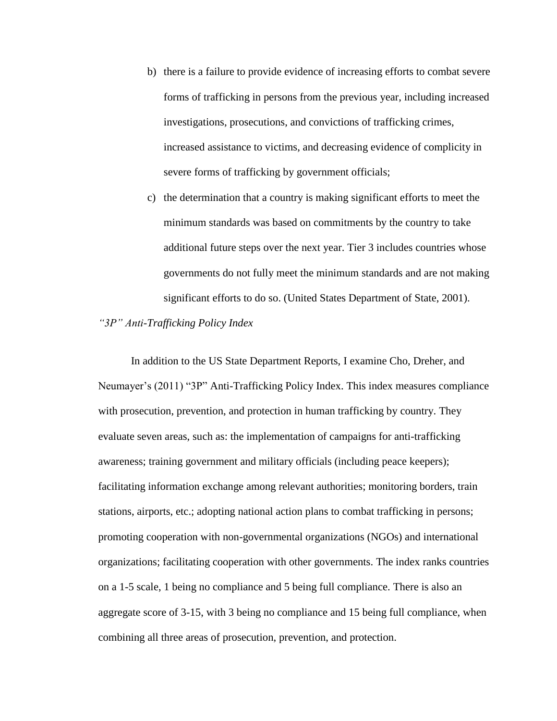- b) there is a failure to provide evidence of increasing efforts to combat severe forms of trafficking in persons from the previous year, including increased investigations, prosecutions, and convictions of trafficking crimes, increased assistance to victims, and decreasing evidence of complicity in severe forms of trafficking by government officials;
- c) the determination that a country is making significant efforts to meet the minimum standards was based on commitments by the country to take additional future steps over the next year. Tier 3 includes countries whose governments do not fully meet the minimum standards and are not making significant efforts to do so. (United States Department of State, 2001).

## *"3P" Anti-Trafficking Policy Index*

In addition to the US State Department Reports, I examine Cho, Dreher, and Neumayer's (2011) "3P" Anti-Trafficking Policy Index. This index measures compliance with prosecution, prevention, and protection in human trafficking by country. They evaluate seven areas, such as: the implementation of campaigns for anti-trafficking awareness; training government and military officials (including peace keepers); facilitating information exchange among relevant authorities; monitoring borders, train stations, airports, etc.; adopting national action plans to combat trafficking in persons; promoting cooperation with non-governmental organizations (NGOs) and international organizations; facilitating cooperation with other governments. The index ranks countries on a 1-5 scale, 1 being no compliance and 5 being full compliance. There is also an aggregate score of 3-15, with 3 being no compliance and 15 being full compliance, when combining all three areas of prosecution, prevention, and protection.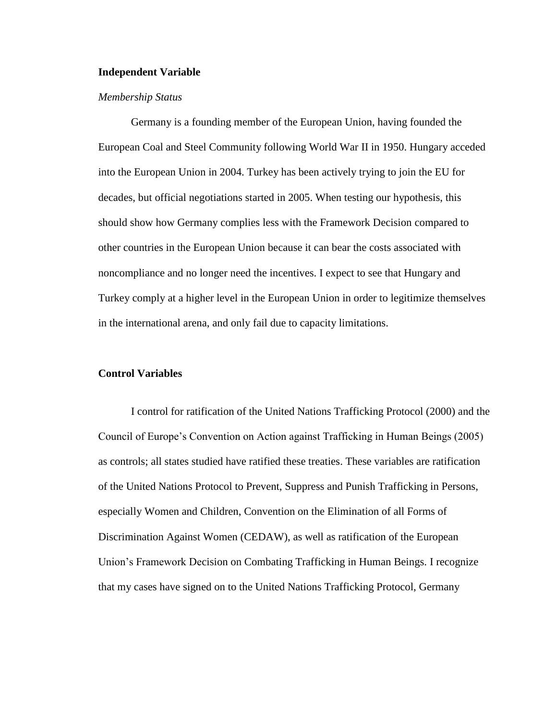## **Independent Variable**

## *Membership Status*

Germany is a founding member of the European Union, having founded the European Coal and Steel Community following World War II in 1950. Hungary acceded into the European Union in 2004. Turkey has been actively trying to join the EU for decades, but official negotiations started in 2005. When testing our hypothesis, this should show how Germany complies less with the Framework Decision compared to other countries in the European Union because it can bear the costs associated with noncompliance and no longer need the incentives. I expect to see that Hungary and Turkey comply at a higher level in the European Union in order to legitimize themselves in the international arena, and only fail due to capacity limitations.

## **Control Variables**

I control for ratification of the United Nations Trafficking Protocol (2000) and the Council of Europe's Convention on Action against Trafficking in Human Beings (2005) as controls; all states studied have ratified these treaties. These variables are ratification of the United Nations Protocol to Prevent, Suppress and Punish Trafficking in Persons, especially Women and Children, Convention on the Elimination of all Forms of Discrimination Against Women (CEDAW), as well as ratification of the European Union's Framework Decision on Combating Trafficking in Human Beings. I recognize that my cases have signed on to the United Nations Trafficking Protocol, Germany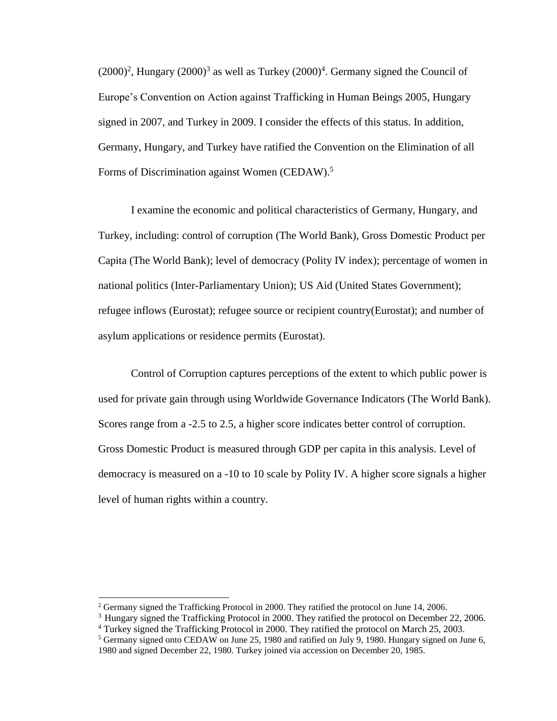$(2000)^2$ , Hungary  $(2000)^3$  as well as Turkey  $(2000)^4$ . Germany signed the Council of Europe's Convention on Action against Trafficking in Human Beings 2005, Hungary signed in 2007, and Turkey in 2009. I consider the effects of this status. In addition, Germany, Hungary, and Turkey have ratified the Convention on the Elimination of all Forms of Discrimination against Women (CEDAW).<sup>5</sup>

I examine the economic and political characteristics of Germany, Hungary, and Turkey, including: control of corruption (The World Bank), Gross Domestic Product per Capita (The World Bank); level of democracy (Polity IV index); percentage of women in national politics (Inter-Parliamentary Union); US Aid (United States Government); refugee inflows (Eurostat); refugee source or recipient country(Eurostat); and number of asylum applications or residence permits (Eurostat).

Control of Corruption captures perceptions of the extent to which public power is used for private gain through using Worldwide Governance Indicators (The World Bank). Scores range from a -2.5 to 2.5, a higher score indicates better control of corruption. Gross Domestic Product is measured through GDP per capita in this analysis. Level of democracy is measured on a -10 to 10 scale by Polity IV. A higher score signals a higher level of human rights within a country.

<sup>2</sup> Germany signed the Trafficking Protocol in 2000. They ratified the protocol on June 14, 2006.

<sup>&</sup>lt;sup>3</sup> Hungary signed the Trafficking Protocol in 2000. They ratified the protocol on December 22, 2006.

<sup>4</sup> Turkey signed the Trafficking Protocol in 2000. They ratified the protocol on March 25, 2003.

<sup>5</sup> Germany signed onto CEDAW on June 25, 1980 and ratified on July 9, 1980. Hungary signed on June 6, 1980 and signed December 22, 1980. Turkey joined via accession on December 20, 1985.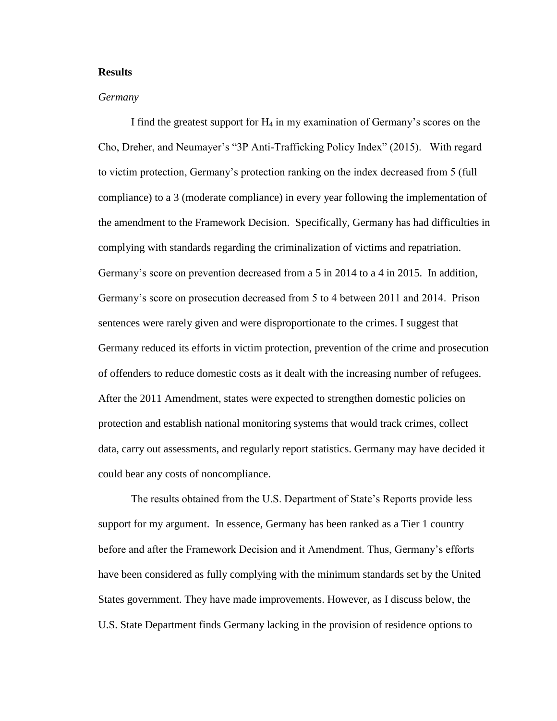## **Results**

## *Germany*

I find the greatest support for  $H_4$  in my examination of Germany's scores on the Cho, Dreher, and Neumayer's "3P Anti-Trafficking Policy Index" (2015). With regard to victim protection, Germany's protection ranking on the index decreased from 5 (full compliance) to a 3 (moderate compliance) in every year following the implementation of the amendment to the Framework Decision. Specifically, Germany has had difficulties in complying with standards regarding the criminalization of victims and repatriation. Germany's score on prevention decreased from a 5 in 2014 to a 4 in 2015. In addition, Germany's score on prosecution decreased from 5 to 4 between 2011 and 2014. Prison sentences were rarely given and were disproportionate to the crimes. I suggest that Germany reduced its efforts in victim protection, prevention of the crime and prosecution of offenders to reduce domestic costs as it dealt with the increasing number of refugees. After the 2011 Amendment, states were expected to strengthen domestic policies on protection and establish national monitoring systems that would track crimes, collect data, carry out assessments, and regularly report statistics. Germany may have decided it could bear any costs of noncompliance.

The results obtained from the U.S. Department of State's Reports provide less support for my argument. In essence, Germany has been ranked as a Tier 1 country before and after the Framework Decision and it Amendment. Thus, Germany's efforts have been considered as fully complying with the minimum standards set by the United States government. They have made improvements. However, as I discuss below, the U.S. State Department finds Germany lacking in the provision of residence options to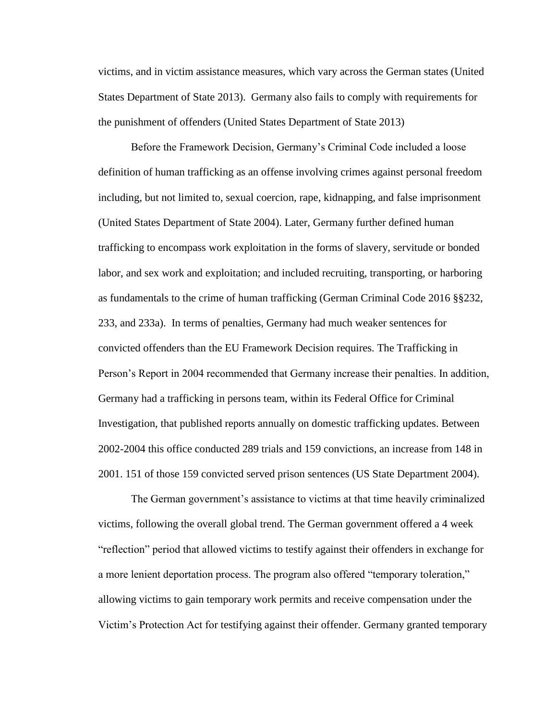victims, and in victim assistance measures, which vary across the German states (United States Department of State 2013). Germany also fails to comply with requirements for the punishment of offenders (United States Department of State 2013)

Before the Framework Decision, Germany's Criminal Code included a loose definition of human trafficking as an offense involving crimes against personal freedom including, but not limited to, sexual coercion, rape, kidnapping, and false imprisonment (United States Department of State 2004). Later, Germany further defined human trafficking to encompass work exploitation in the forms of slavery, servitude or bonded labor, and sex work and exploitation; and included recruiting, transporting, or harboring as fundamentals to the crime of human trafficking (German Criminal Code 2016 §§232, 233, and 233a). In terms of penalties, Germany had much weaker sentences for convicted offenders than the EU Framework Decision requires. The Trafficking in Person's Report in 2004 recommended that Germany increase their penalties. In addition, Germany had a trafficking in persons team, within its Federal Office for Criminal Investigation, that published reports annually on domestic trafficking updates. Between 2002-2004 this office conducted 289 trials and 159 convictions, an increase from 148 in 2001. 151 of those 159 convicted served prison sentences (US State Department 2004).

The German government's assistance to victims at that time heavily criminalized victims, following the overall global trend. The German government offered a 4 week "reflection" period that allowed victims to testify against their offenders in exchange for a more lenient deportation process. The program also offered "temporary toleration," allowing victims to gain temporary work permits and receive compensation under the Victim's Protection Act for testifying against their offender. Germany granted temporary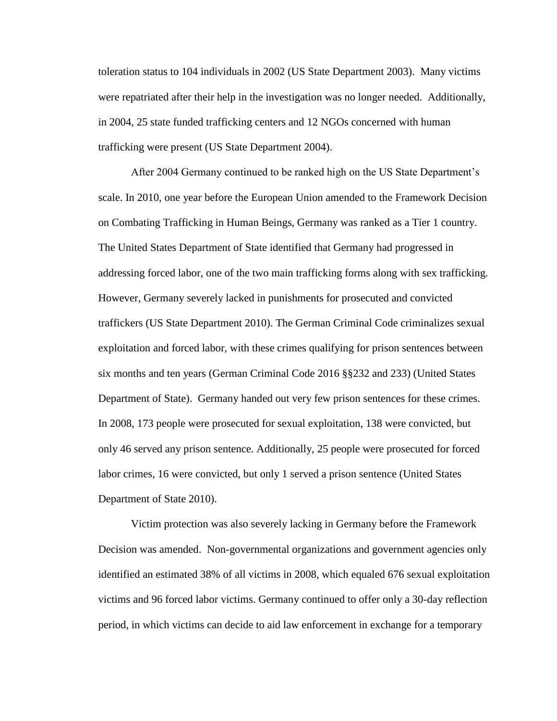toleration status to 104 individuals in 2002 (US State Department 2003). Many victims were repatriated after their help in the investigation was no longer needed. Additionally, in 2004, 25 state funded trafficking centers and 12 NGOs concerned with human trafficking were present (US State Department 2004).

After 2004 Germany continued to be ranked high on the US State Department's scale. In 2010, one year before the European Union amended to the Framework Decision on Combating Trafficking in Human Beings, Germany was ranked as a Tier 1 country. The United States Department of State identified that Germany had progressed in addressing forced labor, one of the two main trafficking forms along with sex trafficking. However, Germany severely lacked in punishments for prosecuted and convicted traffickers (US State Department 2010). The German Criminal Code criminalizes sexual exploitation and forced labor, with these crimes qualifying for prison sentences between six months and ten years (German Criminal Code 2016 §§232 and 233) (United States Department of State). Germany handed out very few prison sentences for these crimes. In 2008, 173 people were prosecuted for sexual exploitation, 138 were convicted, but only 46 served any prison sentence. Additionally, 25 people were prosecuted for forced labor crimes, 16 were convicted, but only 1 served a prison sentence (United States Department of State 2010).

Victim protection was also severely lacking in Germany before the Framework Decision was amended. Non-governmental organizations and government agencies only identified an estimated 38% of all victims in 2008, which equaled 676 sexual exploitation victims and 96 forced labor victims. Germany continued to offer only a 30-day reflection period, in which victims can decide to aid law enforcement in exchange for a temporary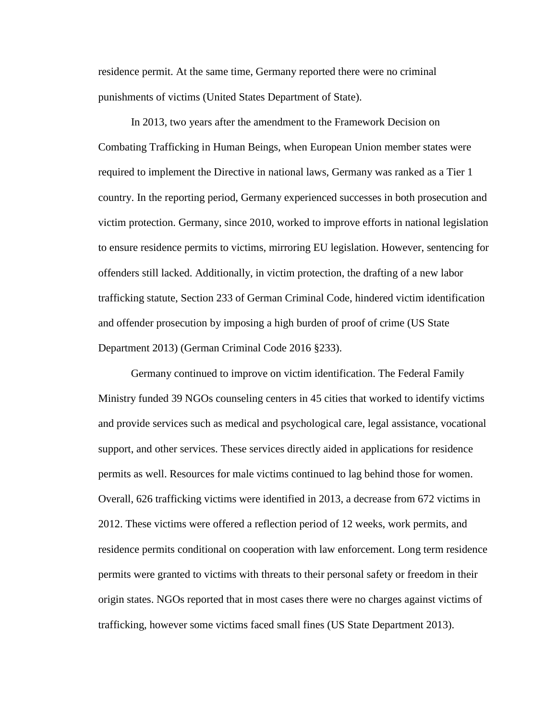residence permit. At the same time, Germany reported there were no criminal punishments of victims (United States Department of State).

In 2013, two years after the amendment to the Framework Decision on Combating Trafficking in Human Beings, when European Union member states were required to implement the Directive in national laws, Germany was ranked as a Tier 1 country. In the reporting period, Germany experienced successes in both prosecution and victim protection. Germany, since 2010, worked to improve efforts in national legislation to ensure residence permits to victims, mirroring EU legislation. However, sentencing for offenders still lacked. Additionally, in victim protection, the drafting of a new labor trafficking statute, Section 233 of German Criminal Code, hindered victim identification and offender prosecution by imposing a high burden of proof of crime (US State Department 2013) (German Criminal Code 2016 §233).

Germany continued to improve on victim identification. The Federal Family Ministry funded 39 NGOs counseling centers in 45 cities that worked to identify victims and provide services such as medical and psychological care, legal assistance, vocational support, and other services. These services directly aided in applications for residence permits as well. Resources for male victims continued to lag behind those for women. Overall, 626 trafficking victims were identified in 2013, a decrease from 672 victims in 2012. These victims were offered a reflection period of 12 weeks, work permits, and residence permits conditional on cooperation with law enforcement. Long term residence permits were granted to victims with threats to their personal safety or freedom in their origin states. NGOs reported that in most cases there were no charges against victims of trafficking, however some victims faced small fines (US State Department 2013).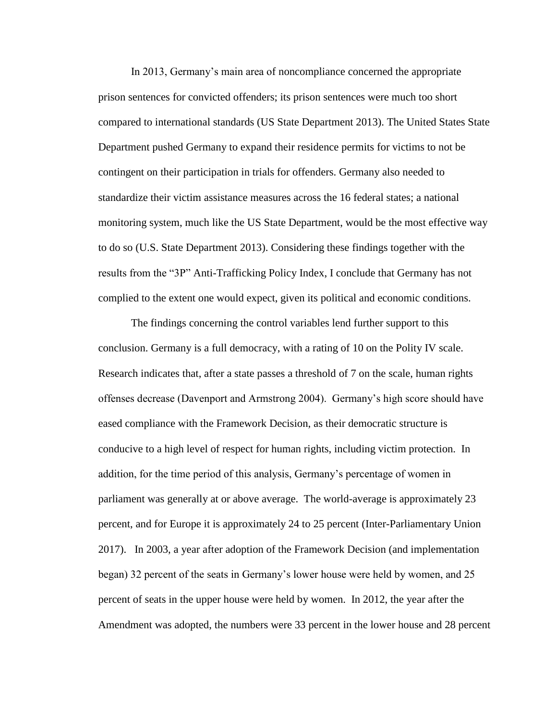In 2013, Germany's main area of noncompliance concerned the appropriate prison sentences for convicted offenders; its prison sentences were much too short compared to international standards (US State Department 2013). The United States State Department pushed Germany to expand their residence permits for victims to not be contingent on their participation in trials for offenders. Germany also needed to standardize their victim assistance measures across the 16 federal states; a national monitoring system, much like the US State Department, would be the most effective way to do so (U.S. State Department 2013). Considering these findings together with the results from the "3P" Anti-Trafficking Policy Index, I conclude that Germany has not complied to the extent one would expect, given its political and economic conditions.

The findings concerning the control variables lend further support to this conclusion. Germany is a full democracy, with a rating of 10 on the Polity IV scale. Research indicates that, after a state passes a threshold of 7 on the scale, human rights offenses decrease (Davenport and Armstrong 2004). Germany's high score should have eased compliance with the Framework Decision, as their democratic structure is conducive to a high level of respect for human rights, including victim protection. In addition, for the time period of this analysis, Germany's percentage of women in parliament was generally at or above average. The world-average is approximately 23 percent, and for Europe it is approximately 24 to 25 percent (Inter-Parliamentary Union 2017). In 2003, a year after adoption of the Framework Decision (and implementation began) 32 percent of the seats in Germany's lower house were held by women, and 25 percent of seats in the upper house were held by women. In 2012, the year after the Amendment was adopted, the numbers were 33 percent in the lower house and 28 percent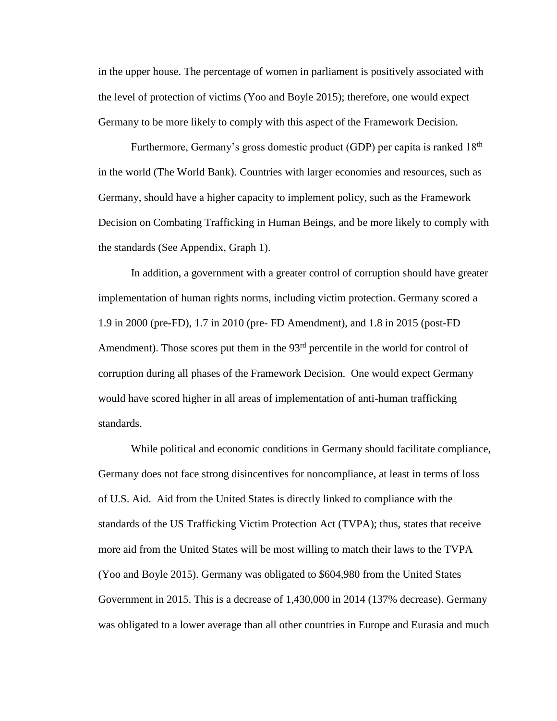in the upper house. The percentage of women in parliament is positively associated with the level of protection of victims (Yoo and Boyle 2015); therefore, one would expect Germany to be more likely to comply with this aspect of the Framework Decision.

Furthermore, Germany's gross domestic product (GDP) per capita is ranked 18<sup>th</sup> in the world (The World Bank). Countries with larger economies and resources, such as Germany, should have a higher capacity to implement policy, such as the Framework Decision on Combating Trafficking in Human Beings, and be more likely to comply with the standards (See Appendix, Graph 1).

In addition, a government with a greater control of corruption should have greater implementation of human rights norms, including victim protection. Germany scored a 1.9 in 2000 (pre-FD), 1.7 in 2010 (pre- FD Amendment), and 1.8 in 2015 (post-FD Amendment). Those scores put them in the  $93<sup>rd</sup>$  percentile in the world for control of corruption during all phases of the Framework Decision. One would expect Germany would have scored higher in all areas of implementation of anti-human trafficking standards.

While political and economic conditions in Germany should facilitate compliance, Germany does not face strong disincentives for noncompliance, at least in terms of loss of U.S. Aid. Aid from the United States is directly linked to compliance with the standards of the US Trafficking Victim Protection Act (TVPA); thus, states that receive more aid from the United States will be most willing to match their laws to the TVPA (Yoo and Boyle 2015). Germany was obligated to \$604,980 from the United States Government in 2015. This is a decrease of 1,430,000 in 2014 (137% decrease). Germany was obligated to a lower average than all other countries in Europe and Eurasia and much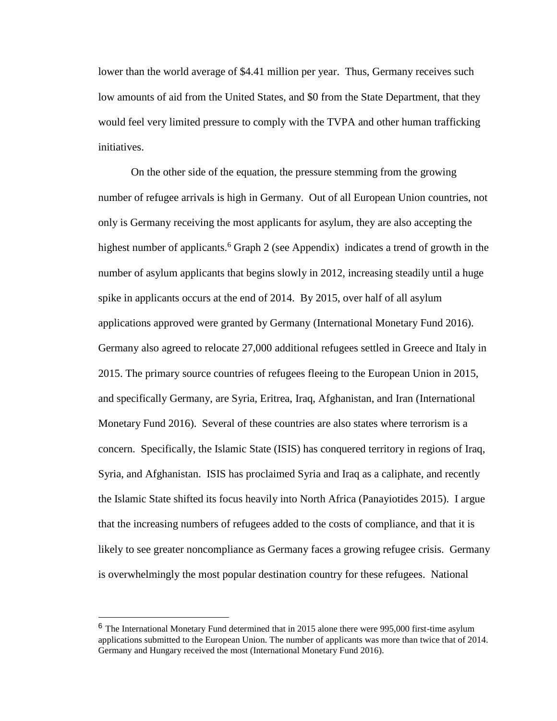lower than the world average of \$4.41 million per year. Thus, Germany receives such low amounts of aid from the United States, and \$0 from the State Department, that they would feel very limited pressure to comply with the TVPA and other human trafficking initiatives.

On the other side of the equation, the pressure stemming from the growing number of refugee arrivals is high in Germany. Out of all European Union countries, not only is Germany receiving the most applicants for asylum, they are also accepting the highest number of applicants.<sup>6</sup> Graph 2 (see Appendix) indicates a trend of growth in the number of asylum applicants that begins slowly in 2012, increasing steadily until a huge spike in applicants occurs at the end of 2014. By 2015, over half of all asylum applications approved were granted by Germany (International Monetary Fund 2016). Germany also agreed to relocate 27,000 additional refugees settled in Greece and Italy in 2015. The primary source countries of refugees fleeing to the European Union in 2015, and specifically Germany, are Syria, Eritrea, Iraq, Afghanistan, and Iran (International Monetary Fund 2016). Several of these countries are also states where terrorism is a concern. Specifically, the Islamic State (ISIS) has conquered territory in regions of Iraq, Syria, and Afghanistan. ISIS has proclaimed Syria and Iraq as a caliphate, and recently the Islamic State shifted its focus heavily into North Africa (Panayiotides 2015). I argue that the increasing numbers of refugees added to the costs of compliance, and that it is likely to see greater noncompliance as Germany faces a growing refugee crisis. Germany is overwhelmingly the most popular destination country for these refugees. National

 $\overline{a}$ 

<sup>&</sup>lt;sup>6</sup> The International Monetary Fund determined that in 2015 alone there were 995,000 first-time asylum applications submitted to the European Union. The number of applicants was more than twice that of 2014. Germany and Hungary received the most (International Monetary Fund 2016).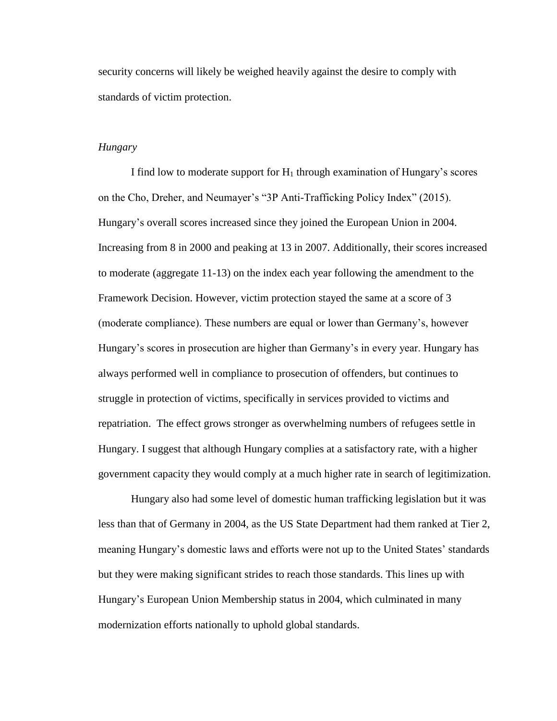security concerns will likely be weighed heavily against the desire to comply with standards of victim protection.

## *Hungary*

I find low to moderate support for  $H_1$  through examination of Hungary's scores on the Cho, Dreher, and Neumayer's "3P Anti-Trafficking Policy Index" (2015). Hungary's overall scores increased since they joined the European Union in 2004. Increasing from 8 in 2000 and peaking at 13 in 2007. Additionally, their scores increased to moderate (aggregate 11-13) on the index each year following the amendment to the Framework Decision. However, victim protection stayed the same at a score of 3 (moderate compliance). These numbers are equal or lower than Germany's, however Hungary's scores in prosecution are higher than Germany's in every year. Hungary has always performed well in compliance to prosecution of offenders, but continues to struggle in protection of victims, specifically in services provided to victims and repatriation. The effect grows stronger as overwhelming numbers of refugees settle in Hungary. I suggest that although Hungary complies at a satisfactory rate, with a higher government capacity they would comply at a much higher rate in search of legitimization.

Hungary also had some level of domestic human trafficking legislation but it was less than that of Germany in 2004, as the US State Department had them ranked at Tier 2, meaning Hungary's domestic laws and efforts were not up to the United States' standards but they were making significant strides to reach those standards. This lines up with Hungary's European Union Membership status in 2004, which culminated in many modernization efforts nationally to uphold global standards.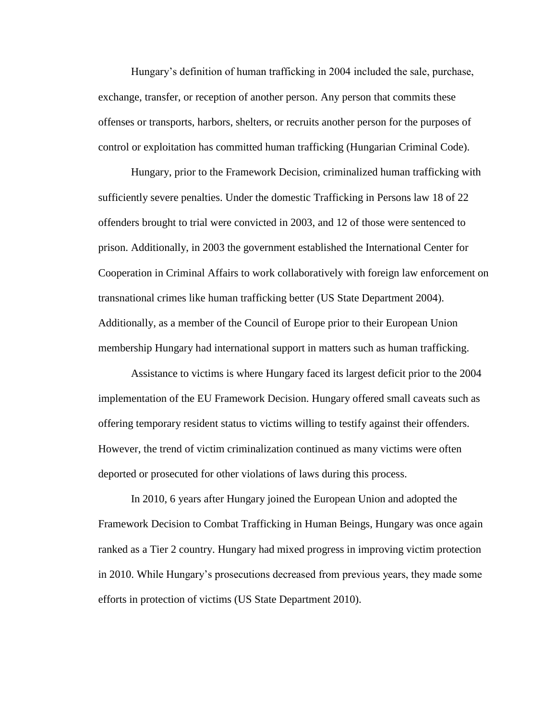Hungary's definition of human trafficking in 2004 included the sale, purchase, exchange, transfer, or reception of another person. Any person that commits these offenses or transports, harbors, shelters, or recruits another person for the purposes of control or exploitation has committed human trafficking (Hungarian Criminal Code).

Hungary, prior to the Framework Decision, criminalized human trafficking with sufficiently severe penalties. Under the domestic Trafficking in Persons law 18 of 22 offenders brought to trial were convicted in 2003, and 12 of those were sentenced to prison. Additionally, in 2003 the government established the International Center for Cooperation in Criminal Affairs to work collaboratively with foreign law enforcement on transnational crimes like human trafficking better (US State Department 2004). Additionally, as a member of the Council of Europe prior to their European Union membership Hungary had international support in matters such as human trafficking.

Assistance to victims is where Hungary faced its largest deficit prior to the 2004 implementation of the EU Framework Decision. Hungary offered small caveats such as offering temporary resident status to victims willing to testify against their offenders. However, the trend of victim criminalization continued as many victims were often deported or prosecuted for other violations of laws during this process.

In 2010, 6 years after Hungary joined the European Union and adopted the Framework Decision to Combat Trafficking in Human Beings, Hungary was once again ranked as a Tier 2 country. Hungary had mixed progress in improving victim protection in 2010. While Hungary's prosecutions decreased from previous years, they made some efforts in protection of victims (US State Department 2010).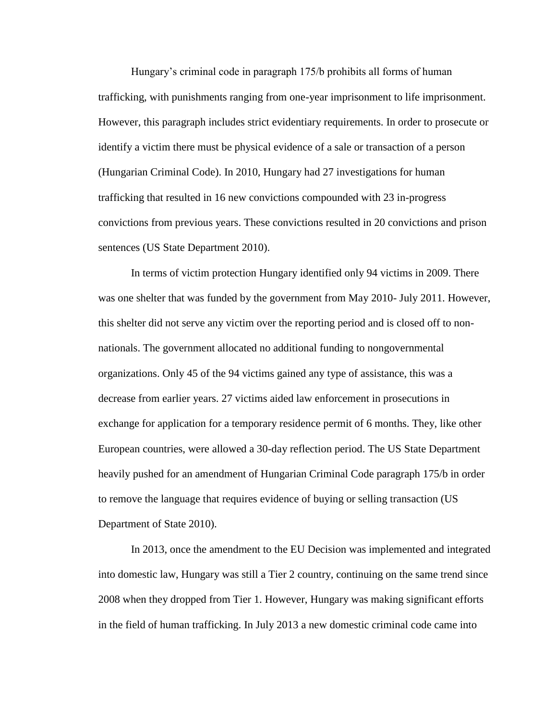Hungary's criminal code in paragraph 175/b prohibits all forms of human trafficking, with punishments ranging from one-year imprisonment to life imprisonment. However, this paragraph includes strict evidentiary requirements. In order to prosecute or identify a victim there must be physical evidence of a sale or transaction of a person (Hungarian Criminal Code). In 2010, Hungary had 27 investigations for human trafficking that resulted in 16 new convictions compounded with 23 in-progress convictions from previous years. These convictions resulted in 20 convictions and prison sentences (US State Department 2010).

In terms of victim protection Hungary identified only 94 victims in 2009. There was one shelter that was funded by the government from May 2010- July 2011. However, this shelter did not serve any victim over the reporting period and is closed off to nonnationals. The government allocated no additional funding to nongovernmental organizations. Only 45 of the 94 victims gained any type of assistance, this was a decrease from earlier years. 27 victims aided law enforcement in prosecutions in exchange for application for a temporary residence permit of 6 months. They, like other European countries, were allowed a 30-day reflection period. The US State Department heavily pushed for an amendment of Hungarian Criminal Code paragraph 175/b in order to remove the language that requires evidence of buying or selling transaction (US Department of State 2010).

In 2013, once the amendment to the EU Decision was implemented and integrated into domestic law, Hungary was still a Tier 2 country, continuing on the same trend since 2008 when they dropped from Tier 1. However, Hungary was making significant efforts in the field of human trafficking. In July 2013 a new domestic criminal code came into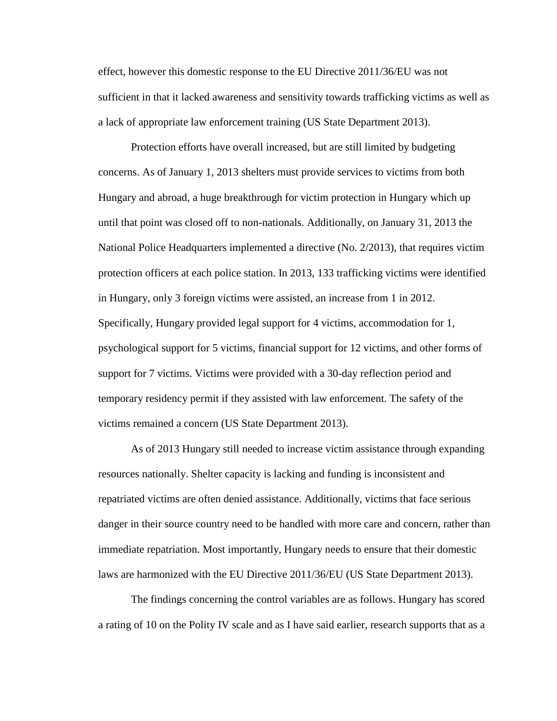effect, however this domestic response to the EU Directive 2011/36/EU was not sufficient in that it lacked awareness and sensitivity towards trafficking victims as well as a lack of appropriate law enforcement training (US State Department 2013).

Protection efforts have overall increased, but are still limited by budgeting concerns. As of January 1, 2013 shelters must provide services to victims from both Hungary and abroad, a huge breakthrough for victim protection in Hungary which up until that point was closed off to non-nationals. Additionally, on January 31, 2013 the National Police Headquarters implemented a directive (No. 2/2013), that requires victim protection officers at each police station. In 2013, 133 trafficking victims were identified in Hungary, only 3 foreign victims were assisted, an increase from 1 in 2012. Specifically, Hungary provided legal support for 4 victims, accommodation for 1, psychological support for 5 victims, financial support for 12 victims, and other forms of support for 7 victims. Victims were provided with a 30-day reflection period and temporary residency permit if they assisted with law enforcement. The safety of the victims remained a concern (US State Department 2013).

As of 2013 Hungary still needed to increase victim assistance through expanding resources nationally. Shelter capacity is lacking and funding is inconsistent and repatriated victims are often denied assistance. Additionally, victims that face serious danger in their source country need to be handled with more care and concern, rather than immediate repatriation. Most importantly, Hungary needs to ensure that their domestic laws are harmonized with the EU Directive 2011/36/EU (US State Department 2013).

The findings concerning the control variables are as follows. Hungary has scored a rating of 10 on the Polity IV scale and as I have said earlier, research supports that as a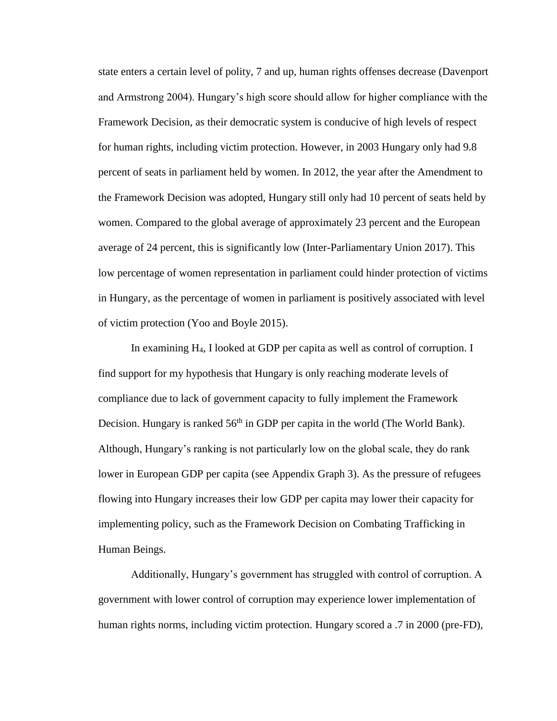state enters a certain level of polity, 7 and up, human rights offenses decrease (Davenport and Armstrong 2004). Hungary's high score should allow for higher compliance with the Framework Decision, as their democratic system is conducive of high levels of respect for human rights, including victim protection. However, in 2003 Hungary only had 9.8 percent of seats in parliament held by women. In 2012, the year after the Amendment to the Framework Decision was adopted, Hungary still only had 10 percent of seats held by women. Compared to the global average of approximately 23 percent and the European average of 24 percent, this is significantly low (Inter-Parliamentary Union 2017). This low percentage of women representation in parliament could hinder protection of victims in Hungary, as the percentage of women in parliament is positively associated with level of victim protection (Yoo and Boyle 2015).

In examining H4, I looked at GDP per capita as well as control of corruption. I find support for my hypothesis that Hungary is only reaching moderate levels of compliance due to lack of government capacity to fully implement the Framework Decision. Hungary is ranked  $56<sup>th</sup>$  in GDP per capita in the world (The World Bank). Although, Hungary's ranking is not particularly low on the global scale, they do rank lower in European GDP per capita (see Appendix Graph 3). As the pressure of refugees flowing into Hungary increases their low GDP per capita may lower their capacity for implementing policy, such as the Framework Decision on Combating Trafficking in Human Beings.

Additionally, Hungary's government has struggled with control of corruption. A government with lower control of corruption may experience lower implementation of human rights norms, including victim protection. Hungary scored a  $.7$  in 2000 (pre-FD),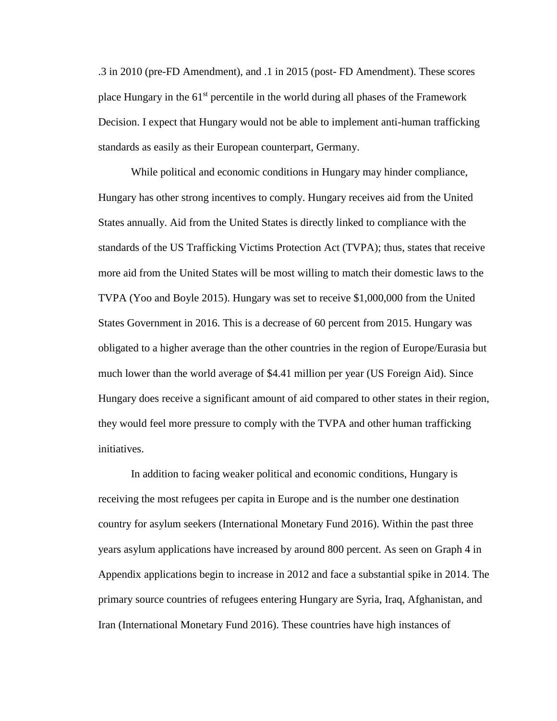.3 in 2010 (pre-FD Amendment), and .1 in 2015 (post- FD Amendment). These scores place Hungary in the  $61<sup>st</sup>$  percentile in the world during all phases of the Framework Decision. I expect that Hungary would not be able to implement anti-human trafficking standards as easily as their European counterpart, Germany.

While political and economic conditions in Hungary may hinder compliance, Hungary has other strong incentives to comply. Hungary receives aid from the United States annually. Aid from the United States is directly linked to compliance with the standards of the US Trafficking Victims Protection Act (TVPA); thus, states that receive more aid from the United States will be most willing to match their domestic laws to the TVPA (Yoo and Boyle 2015). Hungary was set to receive \$1,000,000 from the United States Government in 2016. This is a decrease of 60 percent from 2015. Hungary was obligated to a higher average than the other countries in the region of Europe/Eurasia but much lower than the world average of \$4.41 million per year (US Foreign Aid). Since Hungary does receive a significant amount of aid compared to other states in their region, they would feel more pressure to comply with the TVPA and other human trafficking initiatives.

In addition to facing weaker political and economic conditions, Hungary is receiving the most refugees per capita in Europe and is the number one destination country for asylum seekers (International Monetary Fund 2016). Within the past three years asylum applications have increased by around 800 percent. As seen on Graph 4 in Appendix applications begin to increase in 2012 and face a substantial spike in 2014. The primary source countries of refugees entering Hungary are Syria, Iraq, Afghanistan, and Iran (International Monetary Fund 2016). These countries have high instances of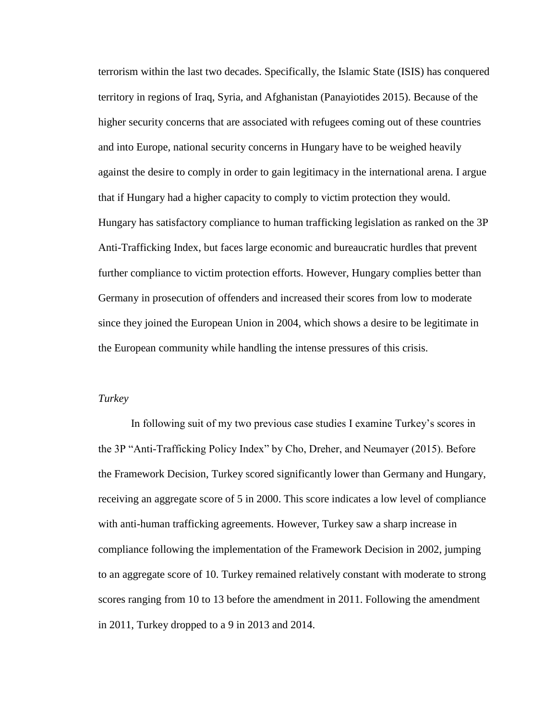terrorism within the last two decades. Specifically, the Islamic State (ISIS) has conquered territory in regions of Iraq, Syria, and Afghanistan (Panayiotides 2015). Because of the higher security concerns that are associated with refugees coming out of these countries and into Europe, national security concerns in Hungary have to be weighed heavily against the desire to comply in order to gain legitimacy in the international arena. I argue that if Hungary had a higher capacity to comply to victim protection they would. Hungary has satisfactory compliance to human trafficking legislation as ranked on the 3P Anti-Trafficking Index, but faces large economic and bureaucratic hurdles that prevent further compliance to victim protection efforts. However, Hungary complies better than Germany in prosecution of offenders and increased their scores from low to moderate since they joined the European Union in 2004, which shows a desire to be legitimate in the European community while handling the intense pressures of this crisis.

#### *Turkey*

In following suit of my two previous case studies I examine Turkey's scores in the 3P "Anti-Trafficking Policy Index" by Cho, Dreher, and Neumayer (2015). Before the Framework Decision, Turkey scored significantly lower than Germany and Hungary, receiving an aggregate score of 5 in 2000. This score indicates a low level of compliance with anti-human trafficking agreements. However, Turkey saw a sharp increase in compliance following the implementation of the Framework Decision in 2002, jumping to an aggregate score of 10. Turkey remained relatively constant with moderate to strong scores ranging from 10 to 13 before the amendment in 2011. Following the amendment in 2011, Turkey dropped to a 9 in 2013 and 2014.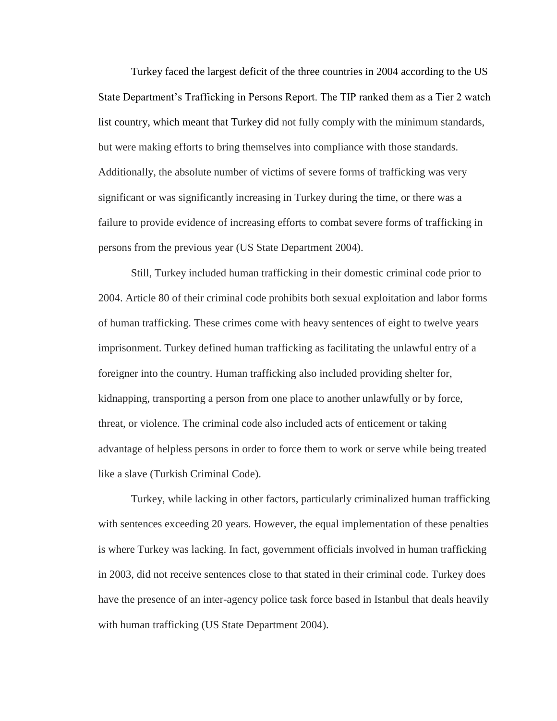Turkey faced the largest deficit of the three countries in 2004 according to the US State Department's Trafficking in Persons Report. The TIP ranked them as a Tier 2 watch list country, which meant that Turkey did not fully comply with the minimum standards, but were making efforts to bring themselves into compliance with those standards. Additionally, the absolute number of victims of severe forms of trafficking was very significant or was significantly increasing in Turkey during the time, or there was a failure to provide evidence of increasing efforts to combat severe forms of trafficking in persons from the previous year (US State Department 2004).

Still, Turkey included human trafficking in their domestic criminal code prior to 2004. Article 80 of their criminal code prohibits both sexual exploitation and labor forms of human trafficking. These crimes come with heavy sentences of eight to twelve years imprisonment. Turkey defined human trafficking as facilitating the unlawful entry of a foreigner into the country. Human trafficking also included providing shelter for, kidnapping, transporting a person from one place to another unlawfully or by force, threat, or violence. The criminal code also included acts of enticement or taking advantage of helpless persons in order to force them to work or serve while being treated like a slave (Turkish Criminal Code).

Turkey, while lacking in other factors, particularly criminalized human trafficking with sentences exceeding 20 years. However, the equal implementation of these penalties is where Turkey was lacking. In fact, government officials involved in human trafficking in 2003, did not receive sentences close to that stated in their criminal code. Turkey does have the presence of an inter-agency police task force based in Istanbul that deals heavily with human trafficking (US State Department 2004).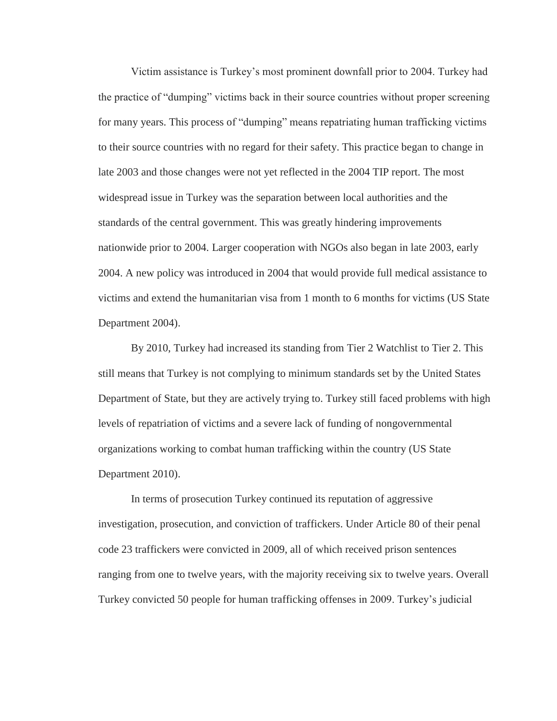Victim assistance is Turkey's most prominent downfall prior to 2004. Turkey had the practice of "dumping" victims back in their source countries without proper screening for many years. This process of "dumping" means repatriating human trafficking victims to their source countries with no regard for their safety. This practice began to change in late 2003 and those changes were not yet reflected in the 2004 TIP report. The most widespread issue in Turkey was the separation between local authorities and the standards of the central government. This was greatly hindering improvements nationwide prior to 2004. Larger cooperation with NGOs also began in late 2003, early 2004. A new policy was introduced in 2004 that would provide full medical assistance to victims and extend the humanitarian visa from 1 month to 6 months for victims (US State Department 2004).

By 2010, Turkey had increased its standing from Tier 2 Watchlist to Tier 2. This still means that Turkey is not complying to minimum standards set by the United States Department of State, but they are actively trying to. Turkey still faced problems with high levels of repatriation of victims and a severe lack of funding of nongovernmental organizations working to combat human trafficking within the country (US State Department 2010).

In terms of prosecution Turkey continued its reputation of aggressive investigation, prosecution, and conviction of traffickers. Under Article 80 of their penal code 23 traffickers were convicted in 2009, all of which received prison sentences ranging from one to twelve years, with the majority receiving six to twelve years. Overall Turkey convicted 50 people for human trafficking offenses in 2009. Turkey's judicial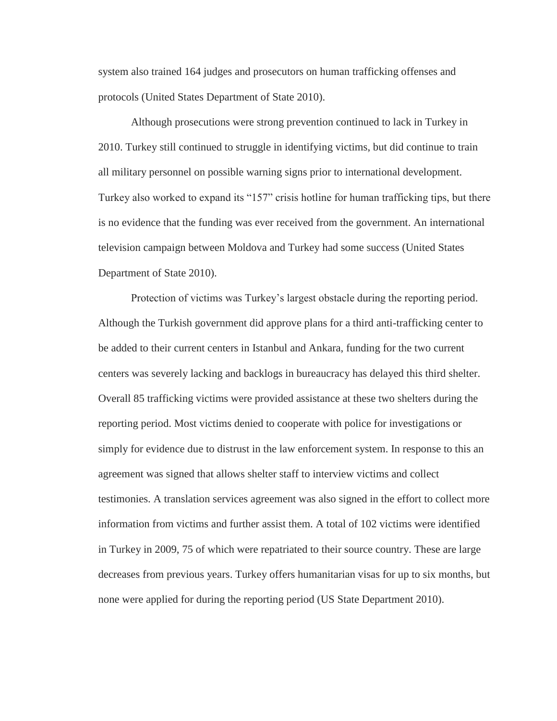system also trained 164 judges and prosecutors on human trafficking offenses and protocols (United States Department of State 2010).

Although prosecutions were strong prevention continued to lack in Turkey in 2010. Turkey still continued to struggle in identifying victims, but did continue to train all military personnel on possible warning signs prior to international development. Turkey also worked to expand its "157" crisis hotline for human trafficking tips, but there is no evidence that the funding was ever received from the government. An international television campaign between Moldova and Turkey had some success (United States Department of State 2010).

Protection of victims was Turkey's largest obstacle during the reporting period. Although the Turkish government did approve plans for a third anti-trafficking center to be added to their current centers in Istanbul and Ankara, funding for the two current centers was severely lacking and backlogs in bureaucracy has delayed this third shelter. Overall 85 trafficking victims were provided assistance at these two shelters during the reporting period. Most victims denied to cooperate with police for investigations or simply for evidence due to distrust in the law enforcement system. In response to this an agreement was signed that allows shelter staff to interview victims and collect testimonies. A translation services agreement was also signed in the effort to collect more information from victims and further assist them. A total of 102 victims were identified in Turkey in 2009, 75 of which were repatriated to their source country. These are large decreases from previous years. Turkey offers humanitarian visas for up to six months, but none were applied for during the reporting period (US State Department 2010).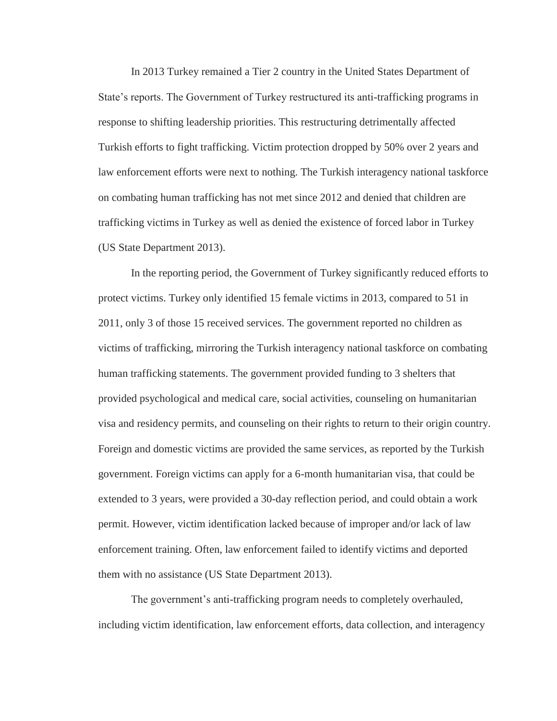In 2013 Turkey remained a Tier 2 country in the United States Department of State's reports. The Government of Turkey restructured its anti-trafficking programs in response to shifting leadership priorities. This restructuring detrimentally affected Turkish efforts to fight trafficking. Victim protection dropped by 50% over 2 years and law enforcement efforts were next to nothing. The Turkish interagency national taskforce on combating human trafficking has not met since 2012 and denied that children are trafficking victims in Turkey as well as denied the existence of forced labor in Turkey (US State Department 2013).

In the reporting period, the Government of Turkey significantly reduced efforts to protect victims. Turkey only identified 15 female victims in 2013, compared to 51 in 2011, only 3 of those 15 received services. The government reported no children as victims of trafficking, mirroring the Turkish interagency national taskforce on combating human trafficking statements. The government provided funding to 3 shelters that provided psychological and medical care, social activities, counseling on humanitarian visa and residency permits, and counseling on their rights to return to their origin country. Foreign and domestic victims are provided the same services, as reported by the Turkish government. Foreign victims can apply for a 6-month humanitarian visa, that could be extended to 3 years, were provided a 30-day reflection period, and could obtain a work permit. However, victim identification lacked because of improper and/or lack of law enforcement training. Often, law enforcement failed to identify victims and deported them with no assistance (US State Department 2013).

The government's anti-trafficking program needs to completely overhauled, including victim identification, law enforcement efforts, data collection, and interagency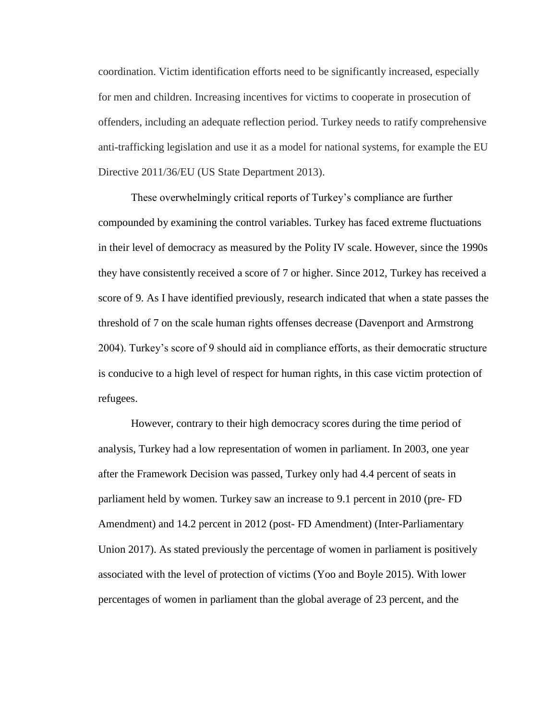coordination. Victim identification efforts need to be significantly increased, especially for men and children. Increasing incentives for victims to cooperate in prosecution of offenders, including an adequate reflection period. Turkey needs to ratify comprehensive anti-trafficking legislation and use it as a model for national systems, for example the EU Directive 2011/36/EU (US State Department 2013).

These overwhelmingly critical reports of Turkey's compliance are further compounded by examining the control variables. Turkey has faced extreme fluctuations in their level of democracy as measured by the Polity IV scale. However, since the 1990s they have consistently received a score of 7 or higher. Since 2012, Turkey has received a score of 9. As I have identified previously, research indicated that when a state passes the threshold of 7 on the scale human rights offenses decrease (Davenport and Armstrong 2004). Turkey's score of 9 should aid in compliance efforts, as their democratic structure is conducive to a high level of respect for human rights, in this case victim protection of refugees.

However, contrary to their high democracy scores during the time period of analysis, Turkey had a low representation of women in parliament. In 2003, one year after the Framework Decision was passed, Turkey only had 4.4 percent of seats in parliament held by women. Turkey saw an increase to 9.1 percent in 2010 (pre- FD Amendment) and 14.2 percent in 2012 (post- FD Amendment) (Inter-Parliamentary Union 2017). As stated previously the percentage of women in parliament is positively associated with the level of protection of victims (Yoo and Boyle 2015). With lower percentages of women in parliament than the global average of 23 percent, and the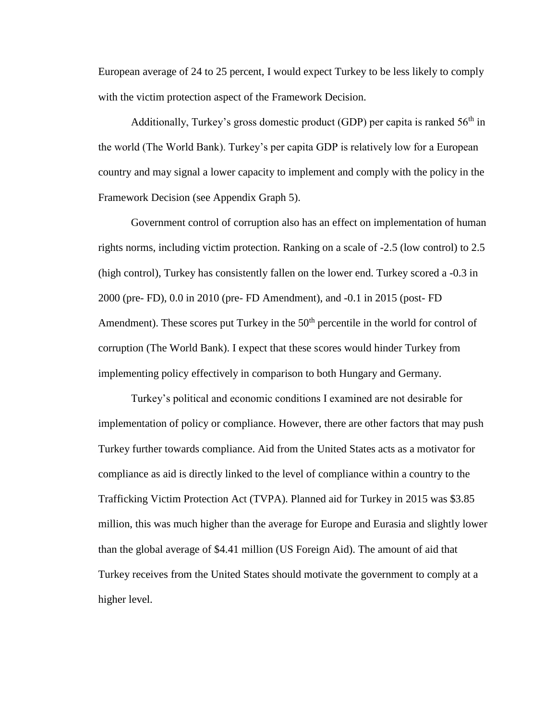European average of 24 to 25 percent, I would expect Turkey to be less likely to comply with the victim protection aspect of the Framework Decision.

Additionally, Turkey's gross domestic product (GDP) per capita is ranked  $56<sup>th</sup>$  in the world (The World Bank). Turkey's per capita GDP is relatively low for a European country and may signal a lower capacity to implement and comply with the policy in the Framework Decision (see Appendix Graph 5).

Government control of corruption also has an effect on implementation of human rights norms, including victim protection. Ranking on a scale of -2.5 (low control) to 2.5 (high control), Turkey has consistently fallen on the lower end. Turkey scored a -0.3 in 2000 (pre- FD), 0.0 in 2010 (pre- FD Amendment), and -0.1 in 2015 (post- FD Amendment). These scores put Turkey in the  $50<sup>th</sup>$  percentile in the world for control of corruption (The World Bank). I expect that these scores would hinder Turkey from implementing policy effectively in comparison to both Hungary and Germany.

Turkey's political and economic conditions I examined are not desirable for implementation of policy or compliance. However, there are other factors that may push Turkey further towards compliance. Aid from the United States acts as a motivator for compliance as aid is directly linked to the level of compliance within a country to the Trafficking Victim Protection Act (TVPA). Planned aid for Turkey in 2015 was \$3.85 million, this was much higher than the average for Europe and Eurasia and slightly lower than the global average of \$4.41 million (US Foreign Aid). The amount of aid that Turkey receives from the United States should motivate the government to comply at a higher level.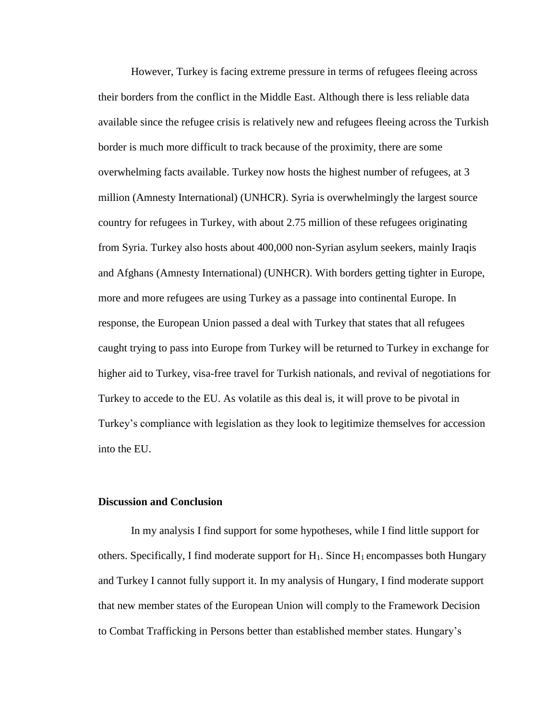However, Turkey is facing extreme pressure in terms of refugees fleeing across their borders from the conflict in the Middle East. Although there is less reliable data available since the refugee crisis is relatively new and refugees fleeing across the Turkish border is much more difficult to track because of the proximity, there are some overwhelming facts available. Turkey now hosts the highest number of refugees, at 3 million (Amnesty International) (UNHCR). Syria is overwhelmingly the largest source country for refugees in Turkey, with about 2.75 million of these refugees originating from Syria. Turkey also hosts about 400,000 non-Syrian asylum seekers, mainly Iraqis and Afghans (Amnesty International) (UNHCR). With borders getting tighter in Europe, more and more refugees are using Turkey as a passage into continental Europe. In response, the European Union passed a deal with Turkey that states that all refugees caught trying to pass into Europe from Turkey will be returned to Turkey in exchange for higher aid to Turkey, visa-free travel for Turkish nationals, and revival of negotiations for Turkey to accede to the EU. As volatile as this deal is, it will prove to be pivotal in Turkey's compliance with legislation as they look to legitimize themselves for accession into the EU.

## **Discussion and Conclusion**

In my analysis I find support for some hypotheses, while I find little support for others. Specifically, I find moderate support for  $H_1$ . Since  $H_1$  encompasses both Hungary and Turkey I cannot fully support it. In my analysis of Hungary, I find moderate support that new member states of the European Union will comply to the Framework Decision to Combat Trafficking in Persons better than established member states. Hungary's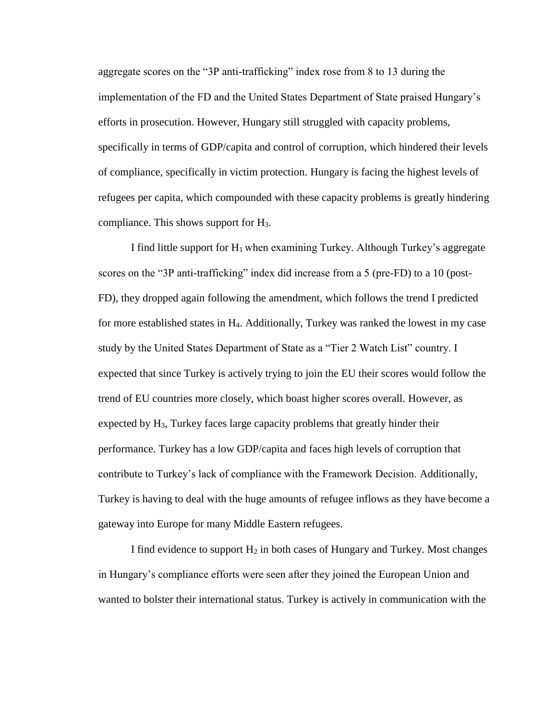aggregate scores on the "3P anti-trafficking" index rose from 8 to 13 during the implementation of the FD and the United States Department of State praised Hungary's efforts in prosecution. However, Hungary still struggled with capacity problems, specifically in terms of GDP/capita and control of corruption, which hindered their levels of compliance, specifically in victim protection. Hungary is facing the highest levels of refugees per capita, which compounded with these capacity problems is greatly hindering compliance. This shows support for H3.

I find little support for  $H_1$  when examining Turkey. Although Turkey's aggregate scores on the "3P anti-trafficking" index did increase from a 5 (pre-FD) to a 10 (post-FD), they dropped again following the amendment, which follows the trend I predicted for more established states in H4. Additionally, Turkey was ranked the lowest in my case study by the United States Department of State as a "Tier 2 Watch List" country. I expected that since Turkey is actively trying to join the EU their scores would follow the trend of EU countries more closely, which boast higher scores overall. However, as expected by  $H_3$ , Turkey faces large capacity problems that greatly hinder their performance. Turkey has a low GDP/capita and faces high levels of corruption that contribute to Turkey's lack of compliance with the Framework Decision. Additionally, Turkey is having to deal with the huge amounts of refugee inflows as they have become a gateway into Europe for many Middle Eastern refugees.

I find evidence to support  $H_2$  in both cases of Hungary and Turkey. Most changes in Hungary's compliance efforts were seen after they joined the European Union and wanted to bolster their international status. Turkey is actively in communication with the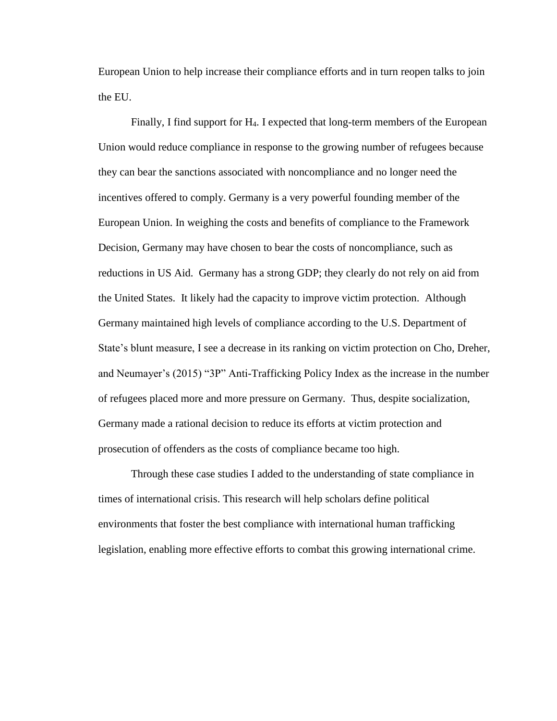European Union to help increase their compliance efforts and in turn reopen talks to join the EU.

Finally, I find support for H4. I expected that long-term members of the European Union would reduce compliance in response to the growing number of refugees because they can bear the sanctions associated with noncompliance and no longer need the incentives offered to comply. Germany is a very powerful founding member of the European Union. In weighing the costs and benefits of compliance to the Framework Decision, Germany may have chosen to bear the costs of noncompliance, such as reductions in US Aid. Germany has a strong GDP; they clearly do not rely on aid from the United States. It likely had the capacity to improve victim protection. Although Germany maintained high levels of compliance according to the U.S. Department of State's blunt measure, I see a decrease in its ranking on victim protection on Cho, Dreher, and Neumayer's (2015) "3P" Anti-Trafficking Policy Index as the increase in the number of refugees placed more and more pressure on Germany. Thus, despite socialization, Germany made a rational decision to reduce its efforts at victim protection and prosecution of offenders as the costs of compliance became too high.

Through these case studies I added to the understanding of state compliance in times of international crisis. This research will help scholars define political environments that foster the best compliance with international human trafficking legislation, enabling more effective efforts to combat this growing international crime.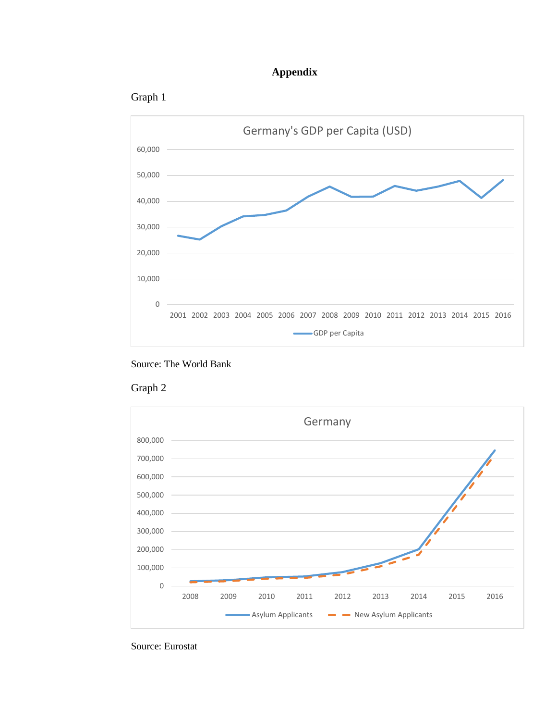## **Appendix**











Source: Eurostat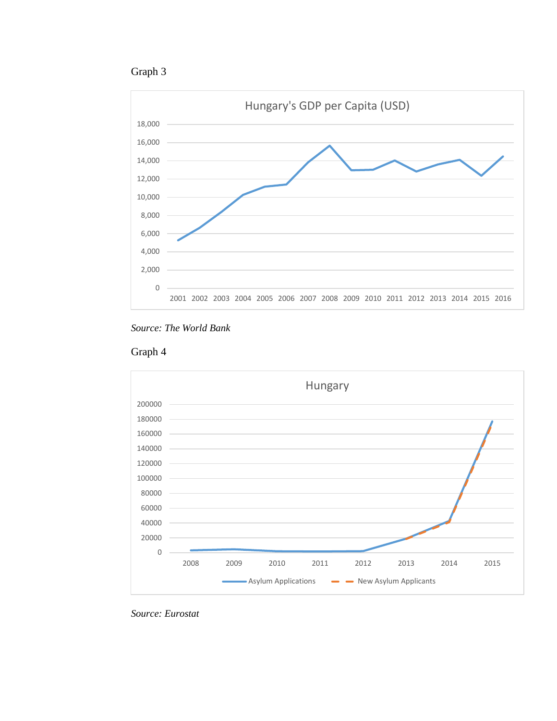









*Source: Eurostat*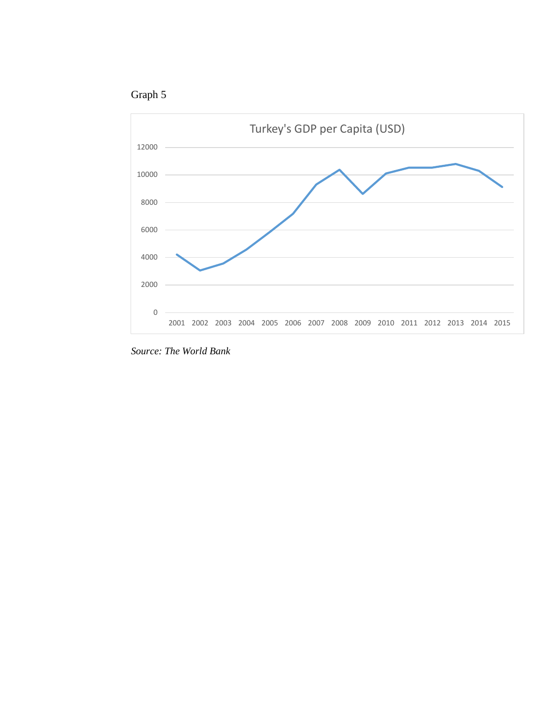



*Source: The World Bank*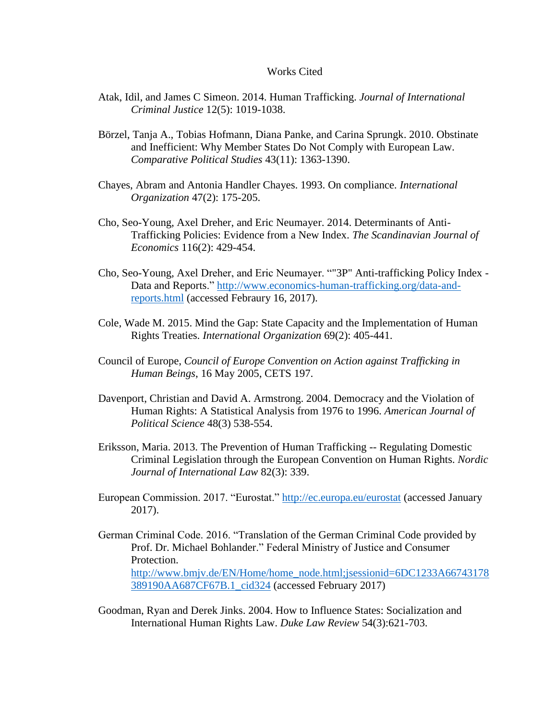## Works Cited

- Atak, Idil, and James C Simeon. 2014. Human Trafficking. *Journal of International Criminal Justice* 12(5): 1019-1038.
- Börzel, Tanja A., Tobias Hofmann, Diana Panke, and Carina Sprungk. 2010. Obstinate and Inefficient: Why Member States Do Not Comply with European Law. *Comparative Political Studies* 43(11): 1363-1390.
- Chayes, Abram and Antonia Handler Chayes. 1993. On compliance. *International Organization* 47(2): 175-205.
- Cho, Seo-Young, Axel Dreher, and Eric Neumayer. 2014. Determinants of Anti-Trafficking Policies: Evidence from a New Index. *The Scandinavian Journal of Economics* 116(2): 429-454.
- Cho, Seo-Young, Axel Dreher, and Eric Neumayer. ""3P" Anti-trafficking Policy Index Data and Reports." [http://www.economics-human-trafficking.org/data-and](http://www.economics-human-trafficking.org/data-and-reports.html)[reports.html](http://www.economics-human-trafficking.org/data-and-reports.html) (accessed Febraury 16, 2017).
- Cole, Wade M. 2015. Mind the Gap: State Capacity and the Implementation of Human Rights Treaties. *International Organization* 69(2): 405-441.
- Council of Europe, *Council of Europe Convention on Action against Trafficking in Human Beings*, 16 May 2005, CETS 197.
- Davenport, Christian and David A. Armstrong. 2004. Democracy and the Violation of Human Rights: A Statistical Analysis from 1976 to 1996. *American Journal of Political Science* 48(3) 538-554.
- Eriksson, Maria. 2013. The Prevention of Human Trafficking -- Regulating Domestic Criminal Legislation through the European Convention on Human Rights. *Nordic Journal of International Law* 82(3): 339.
- European Commission. 2017. "Eurostat."<http://ec.europa.eu/eurostat> (accessed January 2017).
- German Criminal Code. 2016. "Translation of the German Criminal Code provided by Prof. Dr. Michael Bohlander." Federal Ministry of Justice and Consumer Protection. [http://www.bmjv.de/EN/Home/home\\_node.html;jsessionid=6DC1233A66743178](http://www.bmjv.de/EN/Home/home_node.html;jsessionid=6DC1233A66743178389190AA687CF67B.1_cid324) [389190AA687CF67B.1\\_cid324](http://www.bmjv.de/EN/Home/home_node.html;jsessionid=6DC1233A66743178389190AA687CF67B.1_cid324) (accessed February 2017)
- Goodman, Ryan and Derek Jinks. 2004. How to Influence States: Socialization and International Human Rights Law. *Duke Law Review* 54(3):621-703.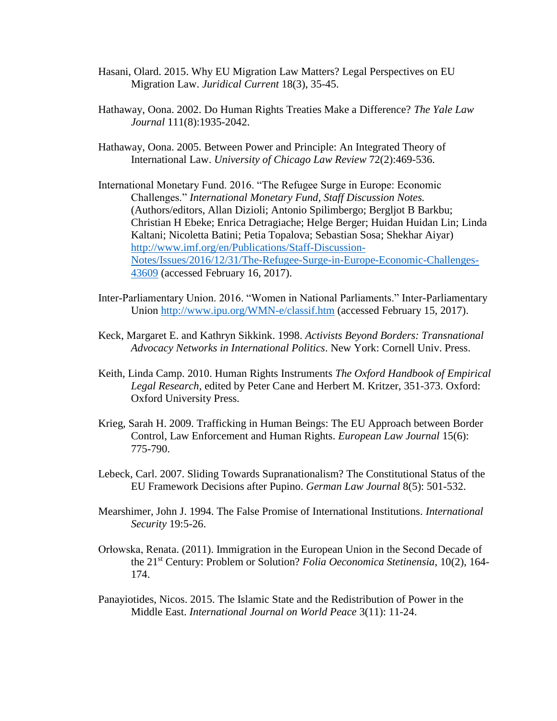- Hasani, Olard. 2015. Why EU Migration Law Matters? Legal Perspectives on EU Migration Law. *Juridical Current* 18(3), 35-45.
- Hathaway, Oona. 2002. Do Human Rights Treaties Make a Difference? *The Yale Law Journal* 111(8):1935-2042.
- Hathaway, Oona. 2005. Between Power and Principle: An Integrated Theory of International Law. *University of Chicago Law Review* 72(2):469-536.
- International Monetary Fund. 2016. "The Refugee Surge in Europe: Economic Challenges." *International Monetary Fund, Staff Discussion Notes.*  (Authors/editors, Allan Dizioli; Antonio Spilimbergo; Bergljot B Barkbu; Christian H Ebeke; Enrica Detragiache; Helge Berger; Huidan Huidan Lin; Linda Kaltani; Nicoletta Batini; Petia Topalova; Sebastian Sosa; Shekhar Aiyar) [http://www.imf.org/en/Publications/Staff-Discussion-](http://www.imf.org/en/Publications/Staff-Discussion-Notes/Issues/2016/12/31/The-Refugee-Surge-in-Europe-Economic-Challenges-43609)[Notes/Issues/2016/12/31/The-Refugee-Surge-in-Europe-Economic-Challenges-](http://www.imf.org/en/Publications/Staff-Discussion-Notes/Issues/2016/12/31/The-Refugee-Surge-in-Europe-Economic-Challenges-43609)[43609](http://www.imf.org/en/Publications/Staff-Discussion-Notes/Issues/2016/12/31/The-Refugee-Surge-in-Europe-Economic-Challenges-43609) (accessed February 16, 2017).
- Inter-Parliamentary Union. 2016. "Women in National Parliaments." Inter-Parliamentary Union<http://www.ipu.org/WMN-e/classif.htm> (accessed February 15, 2017).
- Keck, Margaret E. and Kathryn Sikkink. 1998. *Activists Beyond Borders: Transnational Advocacy Networks in International Politics*. New York: Cornell Univ. Press.
- Keith, Linda Camp. 2010. Human Rights Instruments *The Oxford Handbook of Empirical Legal Research,* edited by Peter Cane and Herbert M. Kritzer, 351-373. Oxford: Oxford University Press*.*
- Krieg, Sarah H. 2009. Trafficking in Human Beings: The EU Approach between Border Control, Law Enforcement and Human Rights. *European Law Journal* 15(6): 775-790.
- Lebeck, Carl. 2007. Sliding Towards Supranationalism? The Constitutional Status of the EU Framework Decisions after Pupino. *German Law Journal* 8(5): 501-532.
- Mearshimer, John J. 1994. The False Promise of International Institutions. *International Security* 19:5-26.
- Orłowska, Renata. (2011). Immigration in the European Union in the Second Decade of the 21st Century: Problem or Solution? *Folia Oeconomica Stetinensia*, 10(2), 164- 174.
- Panayiotides, Nicos. 2015. The Islamic State and the Redistribution of Power in the Middle East. *International Journal on World Peace* 3(11): 11-24.